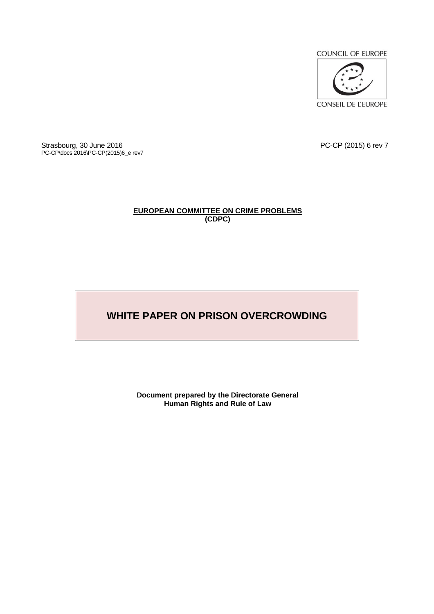

**CONSEIL DE L'EUROPE** 

Strasbourg, 30 June 2016 PC-CP (2015) 6 rev 7 PC-CP\docs 2016\PC-CP(2015)6\_e rev7

# **EUROPEAN COMMITTEE ON CRIME PROBLEMS (CDPC)**

# **WHITE PAPER ON PRISON OVERCROWDING**

**Document prepared by the Directorate General Human Rights and Rule of Law**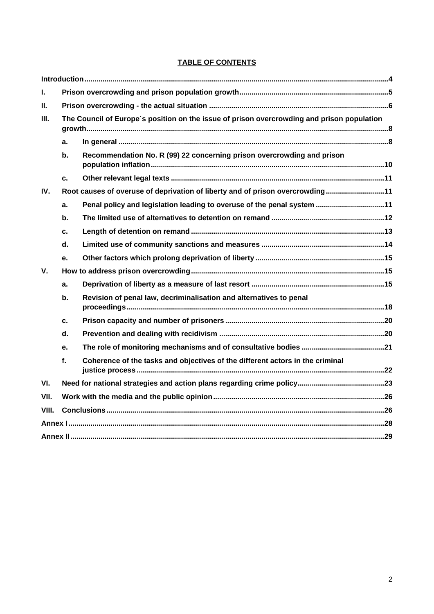# **TABLE OF CONTENTS**

| L.    |                                                                                            |                                                                               |  |
|-------|--------------------------------------------------------------------------------------------|-------------------------------------------------------------------------------|--|
| Ш.    |                                                                                            |                                                                               |  |
| III.  | The Council of Europe's position on the issue of prison overcrowding and prison population |                                                                               |  |
|       | a.                                                                                         |                                                                               |  |
|       | b.                                                                                         | Recommendation No. R (99) 22 concerning prison overcrowding and prison        |  |
|       | c.                                                                                         |                                                                               |  |
| IV.   | Root causes of overuse of deprivation of liberty and of prison overcrowding11              |                                                                               |  |
|       | a.                                                                                         | Penal policy and legislation leading to overuse of the penal system 11        |  |
|       | $\mathbf b$ .                                                                              |                                                                               |  |
|       | c.                                                                                         |                                                                               |  |
|       | $\mathbf{d}$ .                                                                             |                                                                               |  |
|       | e.                                                                                         |                                                                               |  |
| V.    |                                                                                            |                                                                               |  |
|       | a.                                                                                         |                                                                               |  |
|       | b.                                                                                         | Revision of penal law, decriminalisation and alternatives to penal            |  |
|       | c.                                                                                         |                                                                               |  |
|       | $\mathbf{d}$ .                                                                             |                                                                               |  |
|       | e.                                                                                         |                                                                               |  |
|       | f.                                                                                         | Coherence of the tasks and objectives of the different actors in the criminal |  |
| VI.   |                                                                                            |                                                                               |  |
| VII.  |                                                                                            |                                                                               |  |
| VIII. |                                                                                            |                                                                               |  |
|       |                                                                                            |                                                                               |  |
|       |                                                                                            |                                                                               |  |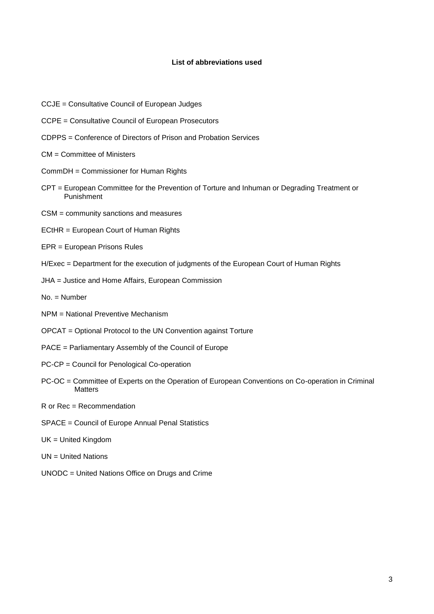#### **List of abbreviations used**

- CCJE = Consultative Council of European Judges
- CCPE = Consultative Council of European Prosecutors
- CDPPS = Conference of Directors of Prison and Probation Services
- CM = Committee of Ministers
- CommDH = Commissioner for Human Rights
- CPT = European Committee for the Prevention of Torture and Inhuman or Degrading Treatment or Punishment
- CSM = community sanctions and measures
- ECtHR = European Court of Human Rights
- EPR = European Prisons Rules
- H/Exec = Department for the execution of judgments of the European Court of Human Rights
- JHA = Justice and Home Affairs, European Commission
- No. = Number
- NPM = National Preventive Mechanism
- OPCAT = Optional Protocol to the UN Convention against Torture
- PACE = Parliamentary Assembly of the Council of Europe
- PC-CP = Council for Penological Co-operation
- PC-OC = Committee of Experts on the Operation of European Conventions on Co-operation in Criminal **Matters**
- R or Rec = Recommendation
- SPACE = Council of Europe Annual Penal Statistics
- UK = United Kingdom
- UN = United Nations
- UNODC = United Nations Office on Drugs and Crime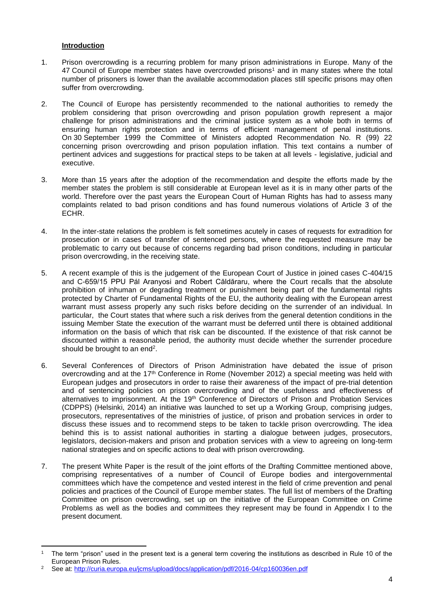# **Introduction**

- <span id="page-3-0"></span>1. Prison overcrowding is a recurring problem for many prison administrations in Europe. Many of the 47 Council of Europe member states have overcrowded prisons<sup>1</sup> and in many states where the total number of prisoners is lower than the available accommodation places still specific prisons may often suffer from overcrowding.
- 2. The Council of Europe has persistently recommended to the national authorities to remedy the problem considering that prison overcrowding and prison population growth represent a major challenge for prison administrations and the criminal justice system as a whole both in terms of ensuring human rights protection and in terms of efficient management of penal institutions. On 30 September 1999 the Committee of Ministers adopted Recommendation No. R (99) 22 concerning prison overcrowding and prison population inflation. This text contains a number of pertinent advices and suggestions for practical steps to be taken at all levels - legislative, judicial and executive.
- 3. More than 15 years after the adoption of the recommendation and despite the efforts made by the member states the problem is still considerable at European level as it is in many other parts of the world. Therefore over the past years the European Court of Human Rights has had to assess many complaints related to bad prison conditions and has found numerous violations of Article 3 of the ECHR.
- 4. In the inter-state relations the problem is felt sometimes acutely in cases of requests for extradition for prosecution or in cases of transfer of sentenced persons, where the requested measure may be problematic to carry out because of concerns regarding bad prison conditions, including in particular prison overcrowding, in the receiving state.
- 5. A recent example of this is the judgement of the European Court of Justice in joined cases C-404/15 and C-659/15 PPU Pál Aranyosi and Robert Căldăraru, where the Court recalls that the absolute prohibition of inhuman or degrading treatment or punishment being part of the fundamental rights protected by Charter of Fundamental Rights of the EU, the authority dealing with the European arrest warrant must assess properly any such risks before deciding on the surrender of an individual. In particular, the Court states that where such a risk derives from the general detention conditions in the issuing Member State the execution of the warrant must be deferred until there is obtained additional information on the basis of which that risk can be discounted. If the existence of that risk cannot be discounted within a reasonable period, the authority must decide whether the surrender procedure should be brought to an end<sup>2</sup>.
- 6. Several Conferences of Directors of Prison Administration have debated the issue of prison overcrowding and at the 17<sup>th</sup> Conference in Rome (November 2012) a special meeting was held with European judges and prosecutors in order to raise their awareness of the impact of pre-trial detention and of sentencing policies on prison overcrowding and of the usefulness and effectiveness of alternatives to imprisonment. At the 19<sup>th</sup> Conference of Directors of Prison and Probation Services (CDPPS) (Helsinki, 2014) an initiative was launched to set up a Working Group, comprising judges, prosecutors, representatives of the ministries of justice, of prison and probation services in order to discuss these issues and to recommend steps to be taken to tackle prison overcrowding. The idea behind this is to assist national authorities in starting a dialogue between judges, prosecutors, legislators, decision-makers and prison and probation services with a view to agreeing on long-term national strategies and on specific actions to deal with prison overcrowding.
- 7. The present White Paper is the result of the joint efforts of the Drafting Committee mentioned above, comprising representatives of a number of Council of Europe bodies and intergovernmental committees which have the competence and vested interest in the field of crime prevention and penal policies and practices of the Council of Europe member states. The full list of members of the Drafting Committee on prison overcrowding, set up on the initiative of the European Committee on Crime Problems as well as the bodies and committees they represent may be found in Appendix I to the present document.

 $\overline{a}$ <sup>1</sup> The term "prison" used in the present text is a general term covering the institutions as described in Rule 10 of the European Prison Rules.

<sup>2</sup> See at:<http://curia.europa.eu/jcms/upload/docs/application/pdf/2016-04/cp160036en.pdf>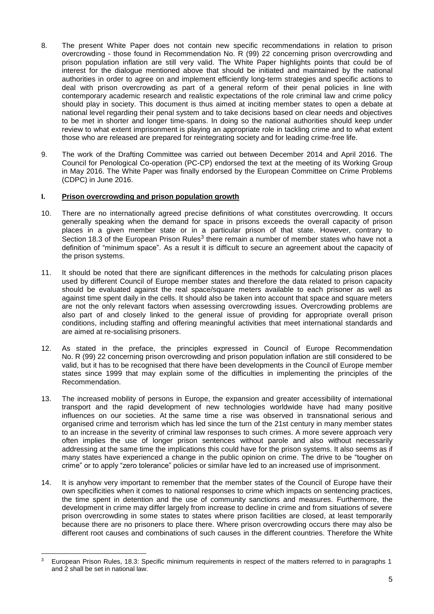- 8. The present White Paper does not contain new specific recommendations in relation to prison overcrowding - those found in Recommendation No. R (99) 22 concerning prison overcrowding and prison population inflation are still very valid. The White Paper highlights points that could be of interest for the dialogue mentioned above that should be initiated and maintained by the national authorities in order to agree on and implement efficiently long-term strategies and specific actions to deal with prison overcrowding as part of a general reform of their penal policies in line with contemporary academic research and realistic expectations of the role criminal law and crime policy should play in society. This document is thus aimed at inciting member states to open a debate at national level regarding their penal system and to take decisions based on clear needs and objectives to be met in shorter and longer time-spans. In doing so the national authorities should keep under review to what extent imprisonment is playing an appropriate role in tackling crime and to what extent those who are released are prepared for reintegrating society and for leading crime-free life.
- 9. The work of the Drafting Committee was carried out between December 2014 and April 2016. The Council for Penological Co-operation (PC-CP) endorsed the text at the meeting of its Working Group in May 2016. The White Paper was finally endorsed by the European Committee on Crime Problems (CDPC) in June 2016.

# <span id="page-4-0"></span>**I. Prison overcrowding and prison population growth**

- 10. There are no internationally agreed precise definitions of what constitutes overcrowding. It occurs generally speaking when the demand for space in prisons exceeds the overall capacity of prison places in a given member state or in a particular prison of that state. However, contrary to Section 18.3 of the European Prison Rules<sup>3</sup> there remain a number of member states who have not a definition of "minimum space". As a result it is difficult to secure an agreement about the capacity of the prison systems.
- 11. It should be noted that there are significant differences in the methods for calculating prison places used by different Council of Europe member states and therefore the data related to prison capacity should be evaluated against the real space/square meters available to each prisoner as well as against time spent daily in the cells. It should also be taken into account that space and square meters are not the only relevant factors when assessing overcrowding issues. Overcrowding problems are also part of and closely linked to the general issue of providing for appropriate overall prison conditions, including staffing and offering meaningful activities that meet international standards and are aimed at re-socialising prisoners.
- 12. As stated in the preface, the principles expressed in Council of Europe Recommendation No. R (99) 22 concerning prison overcrowding and prison population inflation are still considered to be valid, but it has to be recognised that there have been developments in the Council of Europe member states since 1999 that may explain some of the difficulties in implementing the principles of the Recommendation.
- 13. The increased mobility of persons in Europe, the expansion and greater accessibility of international transport and the rapid development of new technologies worldwide have had many positive influences on our societies. At the same time a rise was observed in transnational serious and organised crime and terrorism which has led since the turn of the 21st century in many member states to an increase in the severity of criminal law responses to such crimes. A more severe approach very often implies the use of longer prison sentences without parole and also without necessarily addressing at the same time the implications this could have for the prison systems. It also seems as if many states have experienced a change in the public opinion on crime. The drive to be "tougher on crime" or to apply "zero tolerance" policies or similar have led to an increased use of imprisonment.
- 14. It is anyhow very important to remember that the member states of the Council of Europe have their own specificities when it comes to national responses to crime which impacts on sentencing practices, the time spent in detention and the use of community sanctions and measures. Furthermore, the development in crime may differ largely from increase to decline in crime and from situations of severe prison overcrowding in some states to states where prison facilities are closed, at least temporarily because there are no prisoners to place there. Where prison overcrowding occurs there may also be different root causes and combinations of such causes in the different countries. Therefore the White

<sup>3</sup> European Prison Rules, 18.3: Specific minimum requirements in respect of the matters referred to in paragraphs 1 and 2 shall be set in national law.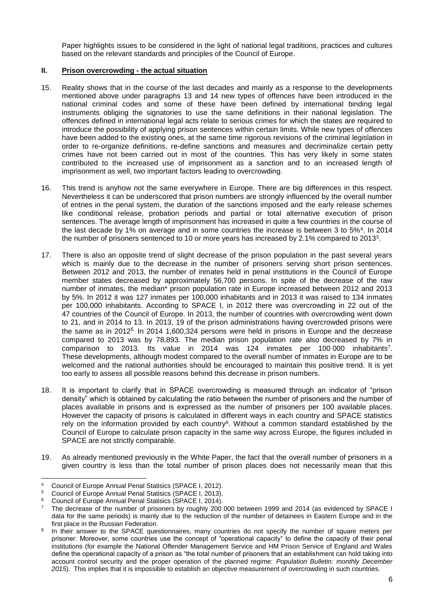Paper highlights issues to be considered in the light of national legal traditions, practices and cultures based on the relevant standards and principles of the Council of Europe.

# <span id="page-5-0"></span>**II. Prison overcrowding - the actual situation**

- 15. Reality shows that in the course of the last decades and mainly as a response to the developments mentioned above under paragraphs 13 and 14 new types of offences have been introduced in the national criminal codes and some of these have been defined by international binding legal instruments obliging the signatories to use the same definitions in their national legislation. The offences defined in international legal acts relate to serious crimes for which the states are required to introduce the possibility of applying prison sentences within certain limits. While new types of offences have been added to the existing ones, at the same time rigorous revisions of the criminal legislation in order to re-organize definitions, re-define sanctions and measures and decriminalize certain petty crimes have not been carried out in most of the countries. This has very likely in some states contributed to the increased use of imprisonment as a sanction and to an increased length of imprisonment as well, two important factors leading to overcrowding.
- 16. This trend is anyhow not the same everywhere in Europe. There are big differences in this respect. Nevertheless it can be underscored that prison numbers are strongly influenced by the overall number of entries in the penal system, the duration of the sanctions imposed and the early release schemes like conditional release, probation periods and partial or total alternative execution of prison sentences. The average length of imprisonment has increased in quite a few countries in the course of the last decade by 1% on average and in some countries the increase is between 3 to 5%<sup>4</sup>. In 2014 the number of prisoners sentenced to 10 or more years has increased by 2.1% compared to 2013<sup>5</sup> .
- 17. There is also an opposite trend of slight decrease of the prison population in the past several years which is mainly due to the decrease in the number of prisoners serving short prison sentences. Between 2012 and 2013, the number of inmates held in penal institutions in the Council of Europe member states decreased by approximately 56,700 persons. In spite of the decrease of the raw number of inmates, the median\* prison population rate in Europe increased between 2012 and 2013 by 5%. In 2012 it was 127 inmates per 100,000 inhabitants and in 2013 it was raised to 134 inmates per 100,000 inhabitants. According to SPACE I, in 2012 there was overcrowding in 22 out of the 47 countries of the Council of Europe. In 2013, the number of countries with overcrowding went down to 21, and in 2014 to 13. In 2013, 19 of the prison administrations having overcrowded prisons were the same as in 2012<sup>6</sup>. In 2014 1,600,324 persons were held in prisons in Europe and the decrease compared to 2013 was by 78,893. The median prison population rate also decreased by 7% in comparison to 2013. Its value in 2014 was 124 inmates per 100 000 inhabitants<sup>7</sup>. These developments, although modest compared to the overall number of inmates in Europe are to be welcomed and the national authorities should be encouraged to maintain this positive trend. It is yet too early to assess all possible reasons behind this decrease in prison numbers.
- 18. It is important to clarify that in SPACE overcrowding is measured through an indicator of "prison density" which is obtained by calculating the ratio between the number of prisoners and the number of places available in prisons and is expressed as the number of prisoners per 100 available places. However the capacity of prisons is calculated in different ways in each country and SPACE statistics rely on the information provided by each country<sup>8</sup>. Without a common standard established by the Council of Europe to calculate prison capacity in the same way across Europe, the figures included in SPACE are not strictly comparable.
- 19. As already mentioned previously in the White Paper, the fact that the overall number of prisoners in a given country is less than the total number of prison places does not necessarily mean that this

<sup>4</sup> Council of Europe Annual Penal Statisics (SPACE I, 2012).<br>5 Council of Europe Annual Penal Statisics (SPACE L 2012).

<sup>&</sup>lt;sup>5</sup> Council of Europe Annual Penal Statisics (SPACE I, 2013).<br><sup>6</sup> Council of Europe Annual Benal Statisics (SPACE L 2014).

<sup>6</sup> Council of Europe Annual Penal Statisics (SPACE I, 2014).

The decrease of the number of prisoners by roughly 200 000 between 1999 and 2014 (as evidenced by SPACE I data for the same periods) is mainly due to the reduction of the number of detainees in Eastern Europe and in the first place in the Russian Federation.

<sup>8</sup> In their answer to the SPACE questionnaires, many countries do not specify the number of square meters per prisoner. Moreover, some countries use the concept of "operational capacity" to define the capacity of their penal institutions (for example the National Offender Management Service and HM Prison Service of England and Wales define the operational capacity of a prison as "the total number of prisoners that an establishment can hold taking into account control security and the proper operation of the planned regime: *Population Bulletin: monthly December 2015*). This implies that it is impossible to establish an objective measurement of overcrowding in such countries.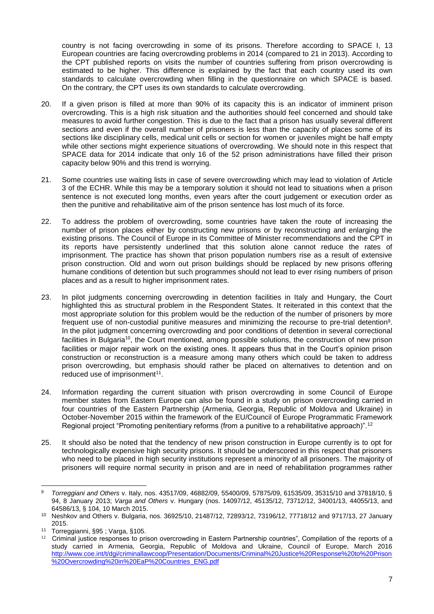country is not facing overcrowding in some of its prisons. Therefore according to SPACE I, 13 European countries are facing overcrowding problems in 2014 (compared to 21 in 2013). According to the CPT published reports on visits the number of countries suffering from prison overcrowding is estimated to be higher. This difference is explained by the fact that each country used its own standards to calculate overcrowding when filling in the questionnaire on which SPACE is based. On the contrary, the CPT uses its own standards to calculate overcrowding.

- 20. If a given prison is filled at more than 90% of its capacity this is an indicator of imminent prison overcrowding. This is a high risk situation and the authorities should feel concerned and should take measures to avoid further congestion. This is due to the fact that a prison has usually several different sections and even if the overall number of prisoners is less than the capacity of places some of its sections like disciplinary cells, medical unit cells or section for women or juveniles might be half empty while other sections might experience situations of overcrowding. We should note in this respect that SPACE data for 2014 indicate that only 16 of the 52 prison administrations have filled their prison capacity below 90% and this trend is worrying.
- 21. Some countries use waiting lists in case of severe overcrowding which may lead to violation of Article 3 of the ECHR. While this may be a temporary solution it should not lead to situations when a prison sentence is not executed long months, even years after the court judgement or execution order as then the punitive and rehabilitative aim of the prison sentence has lost much of its force.
- 22. To address the problem of overcrowding, some countries have taken the route of increasing the number of prison places either by constructing new prisons or by reconstructing and enlarging the existing prisons. The Council of Europe in its Committee of Minister recommendations and the CPT in its reports have persistently underlined that this solution alone cannot reduce the rates of imprisonment. The practice has shown that prison population numbers rise as a result of extensive prison construction. Old and worn out prison buildings should be replaced by new prisons offering humane conditions of detention but such programmes should not lead to ever rising numbers of prison places and as a result to higher imprisonment rates.
- 23. In pilot judgments concerning overcrowding in detention facilities in Italy and Hungary, the Court highlighted this as structural problem in the Respondent States. It reiterated in this context that the most appropriate solution for this problem would be the reduction of the number of prisoners by more frequent use of non-custodial punitive measures and minimizing the recourse to pre-trial detention<sup>9</sup>. In the pilot judgment concerning overcrowding and poor conditions of detention in several correctional facilities in Bulgaria<sup>10</sup>, the Court mentioned, among possible solutions, the construction of new prison facilities or major repair work on the existing ones. It appears thus that in the Court's opinion prison construction or reconstruction is a measure among many others which could be taken to address prison overcrowding, but emphasis should rather be placed on alternatives to detention and on reduced use of imprisonment<sup>11</sup>.
- 24. Information regarding the current situation with prison overcrowding in some Council of Europe member states from Eastern Europe can also be found in a study on prison overcrowding carried in four countries of the Eastern Partnership (Armenia, Georgia, Republic of Moldova and Ukraine) in October-November 2015 within the framework of the EU/Council of Europe Programmatic Framework Regional project "Promoting penitentiary reforms (from a punitive to a rehabilitative approach)".<sup>12</sup>
- 25. It should also be noted that the tendency of new prison construction in Europe currently is to opt for technologically expensive high security prisons. It should be underscored in this respect that prisoners who need to be placed in high security institutions represent a minority of all prisoners. The majority of prisoners will require normal security in prison and are in need of rehabilitation programmes rather

<sup>1</sup> <sup>9</sup> *Torreggiani and Others* v. Italy, nos. 43517/09, 46882/09, 55400/09, 57875/09, 61535/09, 35315/10 and 37818/10, § 94, 8 January 2013; *Varga and Others* v. Hungary (nos. 14097/12, 45135/12, 73712/12, 34001/13, 44055/13, and 64586/13, § 104, 10 March 2015.

<sup>10</sup> Neshkov and Others v. Bulgaria, nos. 36925/10, 21487/12, 72893/12, 73196/12, 77718/12 and 9717/13, 27 January 2015.

<sup>11</sup> Torreggianni, §95 ; Varga, §105.

 $12$  Criminal justice responses to prison overcrowding in Eastern Partnership countries", Compilation of the reports of a study carried in Armenia, Georgia, Republic of Moldova and Ukraine, Council of Europe, March 2016 [http://www.coe.int/t/dgi/criminallawcoop/Presentation/Documents/Criminal%20Justice%20Response%20to%20Prison](http://www.coe.int/t/dgi/criminallawcoop/Presentation/Documents/Criminal%20Justice%20Response%20to%20Prison%20Overcrowding%20in%20EaP%20Countries_ENG.pdf) [%20Overcrowding%20in%20EaP%20Countries\\_ENG.pdf](http://www.coe.int/t/dgi/criminallawcoop/Presentation/Documents/Criminal%20Justice%20Response%20to%20Prison%20Overcrowding%20in%20EaP%20Countries_ENG.pdf)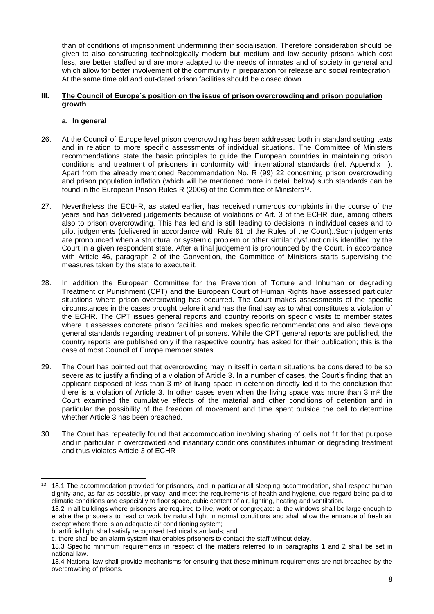than of conditions of imprisonment undermining their socialisation. Therefore consideration should be given to also constructing technologically modern but medium and low security prisons which cost less, are better staffed and are more adapted to the needs of inmates and of society in general and which allow for better involvement of the community in preparation for release and social reintegration. At the same time old and out-dated prison facilities should be closed down.

#### <span id="page-7-0"></span>**III. The Council of Europe´s position on the issue of prison overcrowding and prison population growth**

# **a. In general**

- <span id="page-7-1"></span>26. At the Council of Europe level prison overcrowding has been addressed both in standard setting texts and in relation to more specific assessments of individual situations. The Committee of Ministers recommendations state the basic principles to guide the European countries in maintaining prison conditions and treatment of prisoners in conformity with international standards (ref. Appendix II). Apart from the already mentioned Recommendation No. R (99) 22 concerning prison overcrowding and prison population inflation (which will be mentioned more in detail below) such standards can be found in the European Prison Rules R (2006) of the Committee of Ministers<sup>13</sup>.
- 27. Nevertheless the ECtHR, as stated earlier, has received numerous complaints in the course of the years and has delivered judgements because of violations of Art. 3 of the ECHR due, among others also to prison overcrowding. This has led and is still leading to decisions in individual cases and to pilot judgements (delivered in accordance with Rule 61 of the Rules of the Court)..Such judgements are pronounced when a structural or systemic problem or other similar dysfunction is identified by the Court in a given respondent state. After a final judgement is pronounced by the Court, in accordance with Article 46, paragraph 2 of the Convention, the Committee of Ministers starts supervising the measures taken by the state to execute it.
- 28. In addition the European Committee for the Prevention of Torture and Inhuman or degrading Treatment or Punishment (CPT) and the European Court of Human Rights have assessed particular situations where prison overcrowding has occurred. The Court makes assessments of the specific circumstances in the cases brought before it and has the final say as to what constitutes a violation of the ECHR. The CPT issues general reports and country reports on specific visits to member states where it assesses concrete prison facilities and makes specific recommendations and also develops general standards regarding treatment of prisoners. While the CPT general reports are published, the country reports are published only if the respective country has asked for their publication; this is the case of most Council of Europe member states.
- 29. The Court has pointed out that overcrowding may in itself in certain situations be considered to be so severe as to justify a finding of a violation of Article 3. In a number of cases, the Court's finding that an applicant disposed of less than 3 m<sup>2</sup> of living space in detention directly led it to the conclusion that there is a violation of Article 3. In other cases even when the living space was more than 3  $m<sup>2</sup>$  the Court examined the cumulative effects of the material and other conditions of detention and in particular the possibility of the freedom of movement and time spent outside the cell to determine whether Article 3 has been breached.
- 30. The Court has repeatedly found that accommodation involving sharing of cells not fit for that purpose and in particular in overcrowded and insanitary conditions constitutes inhuman or degrading treatment and thus violates Article 3 of ECHR

except where there is an adequate air conditioning system;

<sup>&</sup>lt;sup>13</sup> 18.1 The accommodation provided for prisoners, and in particular all sleeping accommodation, shall respect human dignity and, as far as possible, privacy, and meet the requirements of health and hygiene, due regard being paid to climatic conditions and especially to floor space, cubic content of air, lighting, heating and ventilation. 18.2 In all buildings where prisoners are required to live, work or congregate: a. the windows shall be large enough to enable the prisoners to read or work by natural light in normal conditions and shall allow the entrance of fresh air

b. artificial light shall satisfy recognised technical standards; and

c. there shall be an alarm system that enables prisoners to contact the staff without delay.

<sup>18.3</sup> Specific minimum requirements in respect of the matters referred to in paragraphs 1 and 2 shall be set in national law.

<sup>18.4</sup> National law shall provide mechanisms for ensuring that these minimum requirements are not breached by the overcrowding of prisons.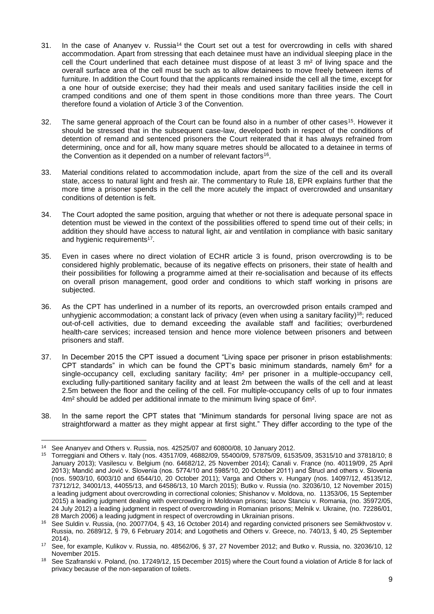- 31. In the case of Ananyev v. Russia<sup>14</sup> the Court set out a test for overcrowding in cells with shared accommodation. Apart from stressing that each detainee must have an individual sleeping place in the cell the Court underlined that each detainee must dispose of at least 3 m² of living space and the overall surface area of the cell must be such as to allow detainees to move freely between items of furniture. In addition the Court found that the applicants remained inside the cell all the time, except for a one hour of outside exercise; they had their meals and used sanitary facilities inside the cell in cramped conditions and one of them spent in those conditions more than three years. The Court therefore found a violation of Article 3 of the Convention.
- 32. The same general approach of the Court can be found also in a number of other cases<sup>15</sup>. However it should be stressed that in the subsequent case-law, developed both in respect of the conditions of detention of remand and sentenced prisoners the Court reiterated that it has always refrained from determining, once and for all, how many square metres should be allocated to a detainee in terms of the Convention as it depended on a number of relevant factors<sup>16</sup>.
- 33. Material conditions related to accommodation include, apart from the size of the cell and its overall state, access to natural light and fresh air. The commentary to Rule 18, EPR explains further that the more time a prisoner spends in the cell the more acutely the impact of overcrowded and unsanitary conditions of detention is felt.
- 34. The Court adopted the same position, arguing that whether or not there is adequate personal space in detention must be viewed in the context of the possibilities offered to spend time out of their cells; in addition they should have access to natural light, air and ventilation in compliance with basic sanitary and hygienic requirements<sup>17</sup>.
- 35. Even in cases where no direct violation of ECHR article 3 is found, prison overcrowding is to be considered highly problematic, because of its negative effects on prisoners, their state of health and their possibilities for following a programme aimed at their re-socialisation and because of its effects on overall prison management, good order and conditions to which staff working in prisons are subjected.
- 36. As the CPT has underlined in a number of its reports, an overcrowded prison entails cramped and unhygienic accommodation; a constant lack of privacy (even when using a sanitary facility)<sup>18</sup>; reduced out-of-cell activities, due to demand exceeding the available staff and facilities; overburdened health-care services; increased tension and hence more violence between prisoners and between prisoners and staff.
- 37. In December 2015 the CPT issued a document "Living space per prisoner in prison establishments: CPT standards" in which can be found the CPT's basic minimum standards, namely 6m² for a single-occupancy cell, excluding sanitary facility;  $4m<sup>2</sup>$  per prisoner in a multiple-occupancy cell, excluding fully-partitioned sanitary facility and at least 2m between the walls of the cell and at least 2.5m between the floor and the ceiling of the cell. For multiple-occupancy cells of up to four inmates 4m² should be added per additional inmate to the minimum living space of 6m².
- 38. In the same report the CPT states that "Minimum standards for personal living space are not as straightforward a matter as they might appear at first sight." They differ according to the type of the

**<sup>.</sup>** <sup>14</sup> See Ananyev and Others v. Russia, nos. 42525/07 and 60800/08, 10 January 2012.

<sup>15</sup> Torreggiani and Others v. Italy (nos. 43517/09, 46882/09, 55400/09, 57875/09, 61535/09, 35315/10 and 37818/10; 8 January 2013); Vasilescu v. Belgium (no. 64682/12, 25 November 2014); Canali v. France (no. 40119/09, 25 April 2013); Mandić and Jović v. Slovenia (nos. 5774/10 and 5985/10, 20 October 2011) and Štrucl and others v. Slovenia (nos. 5903/10, 6003/10 and 6544/10, 20 October 2011); Varga and Others v. Hungary (nos. 14097/12, 45135/12, 73712/12, 34001/13, 44055/13, and 64586/13, 10 March 2015); Butko v. Russia (no. 32036/10, 12 November 2015) a leading judgment about overcrowding in correctional colonies; Shishanov v. Moldova, no. 11353/06, 15 September 2015) a leading judgment dealing with overcrowding in Moldovan prisons; Iacov Stanciu v. Romania, (no. 35972/05, 24 July 2012) a leading judgment in respect of overcrowding in Romanian prisons; Melnik v. Ukraine, (no. 72286/01, 28 March 2006) a leading judgment in respect of overcrowding in Ukrainian prisons.

<sup>16</sup> See Suldin v. Russia, (no. 20077/04, § 43, 16 October 2014) and regarding convicted prisoners see Semikhvostov v. Russia, no. 2689/12, § 79, 6 February 2014; and Logothetis and Others v. Greece, no. 740/13, § 40, 25 September 2014).

<sup>17</sup> See, for example, Kulikov v. Russia, no. 48562/06, § 37, 27 November 2012; and Butko v. Russia, no. 32036/10, 12 November 2015.

<sup>&</sup>lt;sup>18</sup> See Szafranski v. Poland, (no. 17249/12, 15 December 2015) where the Court found a violation of Article 8 for lack of privacy because of the non-separation of toilets.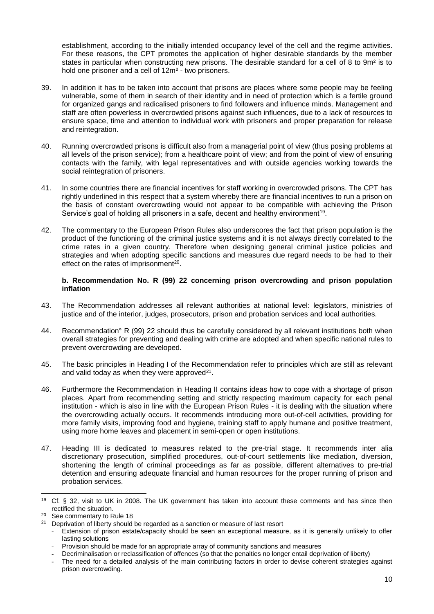establishment, according to the initially intended occupancy level of the cell and the regime activities. For these reasons, the CPT promotes the application of higher desirable standards by the member states in particular when constructing new prisons. The desirable standard for a cell of 8 to 9m² is to hold one prisoner and a cell of 12m² - two prisoners.

- 39. In addition it has to be taken into account that prisons are places where some people may be feeling vulnerable, some of them in search of their identity and in need of protection which is a fertile ground for organized gangs and radicalised prisoners to find followers and influence minds. Management and staff are often powerless in overcrowded prisons against such influences, due to a lack of resources to ensure space, time and attention to individual work with prisoners and proper preparation for release and reintegration.
- 40. Running overcrowded prisons is difficult also from a managerial point of view (thus posing problems at all levels of the prison service); from a healthcare point of view; and from the point of view of ensuring contacts with the family, with legal representatives and with outside agencies working towards the social reintegration of prisoners.
- 41. In some countries there are financial incentives for staff working in overcrowded prisons. The CPT has rightly underlined in this respect that a system whereby there are financial incentives to run a prison on the basis of constant overcrowding would not appear to be compatible with achieving the Prison Service's goal of holding all prisoners in a safe, decent and healthy environment<sup>19</sup>.
- 42. The commentary to the European Prison Rules also underscores the fact that prison population is the product of the functioning of the criminal justice systems and it is not always directly correlated to the crime rates in a given country. Therefore when designing general criminal justice policies and strategies and when adopting specific sanctions and measures due regard needs to be had to their effect on the rates of imprisonment<sup>20</sup>.

#### <span id="page-9-0"></span>**b. Recommendation No. R (99) 22 concerning prison overcrowding and prison population inflation**

- 43. The Recommendation addresses all relevant authorities at national level: legislators, ministries of justice and of the interior, judges, prosecutors, prison and probation services and local authorities.
- 44. Recommendation° R (99) 22 should thus be carefully considered by all relevant institutions both when overall strategies for preventing and dealing with crime are adopted and when specific national rules to prevent overcrowding are developed.
- 45. The basic principles in Heading I of the Recommendation refer to principles which are still as relevant and valid today as when they were approved $21$ .
- 46. Furthermore the Recommendation in Heading II contains ideas how to cope with a shortage of prison places. Apart from recommending setting and strictly respecting maximum capacity for each penal institution - which is also in line with the European Prison Rules - it is dealing with the situation where the overcrowding actually occurs. It recommends introducing more out-of-cell activities, providing for more family visits, improving food and hygiene, training staff to apply humane and positive treatment, using more home leaves and placement in semi-open or open institutions.
- 47. Heading III is dedicated to measures related to the pre-trial stage. It recommends inter alia discretionary prosecution, simplified procedures, out-of-court settlements like mediation, diversion, shortening the length of criminal proceedings as far as possible, different alternatives to pre-trial detention and ensuring adequate financial and human resources for the proper running of prison and probation services.

<sup>19</sup> Cf. § 32, visit to UK in 2008. The UK government has taken into account these comments and has since then rectified the situation.

<sup>20</sup> See commentary to Rule 18

<sup>&</sup>lt;sup>21</sup> Deprivation of liberty should be regarded as a sanction or measure of last resort

<sup>-</sup> Extension of prison estate/capacity should be seen an exceptional measure, as it is generally unlikely to offer lasting solutions

Provision should be made for an appropriate array of community sanctions and measures

<sup>-</sup> Decriminalisation or reclassification of offences (so that the penalties no longer entail deprivation of liberty)

The need for a detailed analysis of the main contributing factors in order to devise coherent strategies against prison overcrowding.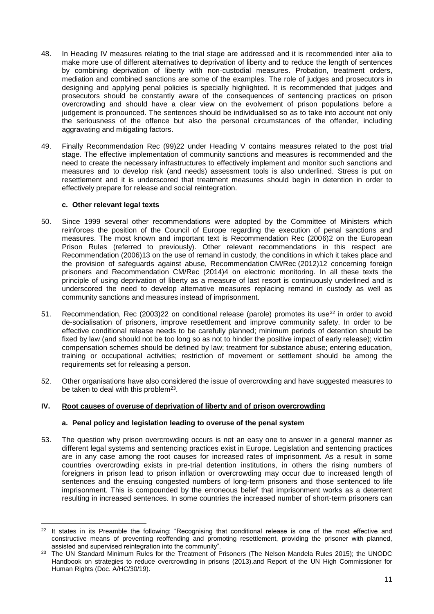- 48. In Heading IV measures relating to the trial stage are addressed and it is recommended inter alia to make more use of different alternatives to deprivation of liberty and to reduce the length of sentences by combining deprivation of liberty with non-custodial measures. Probation, treatment orders, mediation and combined sanctions are some of the examples. The role of judges and prosecutors in designing and applying penal policies is specially highlighted. It is recommended that judges and prosecutors should be constantly aware of the consequences of sentencing practices on prison overcrowding and should have a clear view on the evolvement of prison populations before a judgement is pronounced. The sentences should be individualised so as to take into account not only the seriousness of the offence but also the personal circumstances of the offender, including aggravating and mitigating factors.
- 49. Finally Recommendation Rec (99)22 under Heading V contains measures related to the post trial stage. The effective implementation of community sanctions and measures is recommended and the need to create the necessary infrastructures to effectively implement and monitor such sanctions and measures and to develop risk (and needs) assessment tools is also underlined. Stress is put on resettlement and it is underscored that treatment measures should begin in detention in order to effectively prepare for release and social reintegration.

#### **c. Other relevant legal texts**

- <span id="page-10-0"></span>50. Since 1999 several other recommendations were adopted by the Committee of Ministers which reinforces the position of the Council of Europe regarding the execution of penal sanctions and measures. The most known and important text is Recommendation Rec (2006)2 on the European Prison Rules (referred to previously). Other relevant recommendations in this respect are Recommendation (2006)13 on the use of remand in custody, the conditions in which it takes place and the provision of safeguards against abuse, Recommendation CM/Rec (2012)12 concerning foreign prisoners and Recommendation CM/Rec (2014)4 on electronic monitoring. In all these texts the principle of using deprivation of liberty as a measure of last resort is continuously underlined and is underscored the need to develop alternative measures replacing remand in custody as well as community sanctions and measures instead of imprisonment.
- 51. Recommendation, Rec (2003)22 on conditional release (parole) promotes its use<sup>22</sup> in order to avoid de-socialisation of prisoners, improve resettlement and improve community safety. In order to be effective conditional release needs to be carefully planned; minimum periods of detention should be fixed by law (and should not be too long so as not to hinder the positive impact of early release); victim compensation schemes should be defined by law; treatment for substance abuse; entering education, training or occupational activities; restriction of movement or settlement should be among the requirements set for releasing a person.
- 52. Other organisations have also considered the issue of overcrowding and have suggested measures to be taken to deal with this problem $23$ .

# <span id="page-10-1"></span>**IV. Root causes of overuse of deprivation of liberty and of prison overcrowding**

# **a. Penal policy and legislation leading to overuse of the penal system**

<span id="page-10-2"></span>53. The question why prison overcrowding occurs is not an easy one to answer in a general manner as different legal systems and sentencing practices exist in Europe. Legislation and sentencing practices are in any case among the root causes for increased rates of imprisonment. As a result in some countries overcrowding exists in pre-trial detention institutions, in others the rising numbers of foreigners in prison lead to prison inflation or overcrowding may occur due to increased length of sentences and the ensuing congested numbers of long-term prisoners and those sentenced to life imprisonment. This is compounded by the erroneous belief that imprisonment works as a deterrent resulting in increased sentences. In some countries the increased number of short-term prisoners can

**<sup>.</sup>** <sup>22</sup> It states in its Preamble the following: "Recognising that conditional release is one of the most effective and constructive means of preventing reoffending and promoting resettlement, providing the prisoner with planned, assisted and supervised reintegration into the community".

<sup>&</sup>lt;sup>23</sup> The UN Standard Minimum Rules for the Treatment of Prisoners (The Nelson Mandela Rules 2015); the UNODC Handbook on strategies to reduce overcrowding in prisons (2013).and Report of the UN High Commissioner for Human Rights (Doc. A/HC/30/19).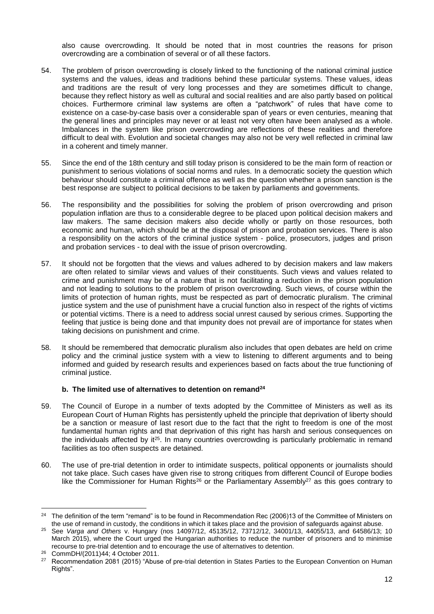also cause overcrowding. It should be noted that in most countries the reasons for prison overcrowding are a combination of several or of all these factors.

- 54. The problem of prison overcrowding is closely linked to the functioning of the national criminal justice systems and the values, ideas and traditions behind these particular systems. These values, ideas and traditions are the result of very long processes and they are sometimes difficult to change, because they reflect history as well as cultural and social realities and are also partly based on political choices. Furthermore criminal law systems are often a "patchwork" of rules that have come to existence on a case-by-case basis over a considerable span of years or even centuries, meaning that the general lines and principles may never or at least not very often have been analysed as a whole. Imbalances in the system like prison overcrowding are reflections of these realities and therefore difficult to deal with. Evolution and societal changes may also not be very well reflected in criminal law in a coherent and timely manner.
- 55. Since the end of the 18th century and still today prison is considered to be the main form of reaction or punishment to serious violations of social norms and rules. In a democratic society the question which behaviour should constitute a criminal offence as well as the question whether a prison sanction is the best response are subject to political decisions to be taken by parliaments and governments.
- 56. The responsibility and the possibilities for solving the problem of prison overcrowding and prison population inflation are thus to a considerable degree to be placed upon political decision makers and law makers. The same decision makers also decide wholly or partly on those resources, both economic and human, which should be at the disposal of prison and probation services. There is also a responsibility on the actors of the criminal justice system - police, prosecutors, judges and prison and probation services - to deal with the issue of prison overcrowding.
- 57. It should not be forgotten that the views and values adhered to by decision makers and law makers are often related to similar views and values of their constituents. Such views and values related to crime and punishment may be of a nature that is not facilitating a reduction in the prison population and not leading to solutions to the problem of prison overcrowding. Such views, of course within the limits of protection of human rights, must be respected as part of democratic pluralism. The criminal justice system and the use of punishment have a crucial function also in respect of the rights of victims or potential victims. There is a need to address social unrest caused by serious crimes. Supporting the feeling that justice is being done and that impunity does not prevail are of importance for states when taking decisions on punishment and crime.
- 58. It should be remembered that democratic pluralism also includes that open debates are held on crime policy and the criminal justice system with a view to listening to different arguments and to being informed and guided by research results and experiences based on facts about the true functioning of criminal justice.

# **b. The limited use of alternatives to detention on remand<sup>24</sup>**

- <span id="page-11-0"></span>59. The Council of Europe in a number of texts adopted by the Committee of Ministers as well as its European Court of Human Rights has persistently upheld the principle that deprivation of liberty should be a sanction or measure of last resort due to the fact that the right to freedom is one of the most fundamental human rights and that deprivation of this right has harsh and serious consequences on the individuals affected by it<sup>25</sup>. In many countries overcrowding is particularly problematic in remand facilities as too often suspects are detained.
- 60. The use of pre-trial detention in order to intimidate suspects, political opponents or journalists should not take place. Such cases have given rise to strong critiques from different Council of Europe bodies like the Commissioner for Human Rights<sup>26</sup> or the Parliamentary Assembly<sup>27</sup> as this goes contrary to

 $24$ <sup>24</sup> The definition of the term "remand" is to be found in Recommendation Rec (2006)13 of the Committee of Ministers on the use of remand in custody, the conditions in which it takes place and the provision of safeguards against abuse.

<sup>25</sup> See *Varga and Others* v. Hungary (nos 14097/12, 45135/12, 73712/12, 34001/13, 44055/13, and 64586/13; 10 March 2015), where the Court urged the Hungarian authorities to reduce the number of prisoners and to minimise recourse to pre-trial detention and to encourage the use of alternatives to detention.

<sup>26</sup> CommDH/(2011)44; 4 October 2011.

<sup>&</sup>lt;sup>27</sup> Recommendation 2081 (2015) "Abuse of pre-trial detention in States Parties to the European Convention on Human Rights".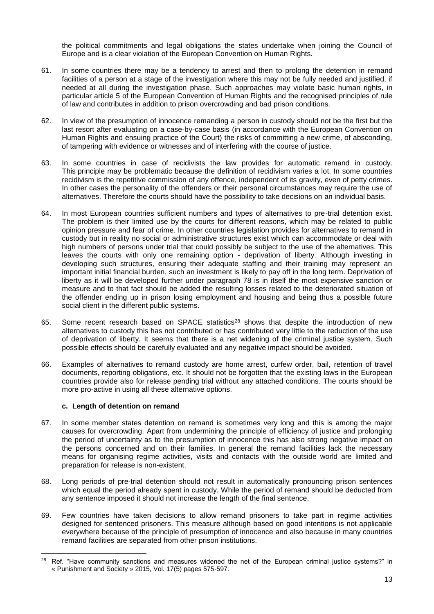the political commitments and legal obligations the states undertake when joining the Council of Europe and is a clear violation of the European Convention on Human Rights.

- 61. In some countries there may be a tendency to arrest and then to prolong the detention in remand facilities of a person at a stage of the investigation where this may not be fully needed and justified, if needed at all during the investigation phase. Such approaches may violate basic human rights, in particular article 5 of the European Convention of Human Rights and the recognised principles of rule of law and contributes in addition to prison overcrowding and bad prison conditions.
- 62. In view of the presumption of innocence remanding a person in custody should not be the first but the last resort after evaluating on a case-by-case basis (in accordance with the European Convention on Human Rights and ensuing practice of the Court) the risks of committing a new crime, of absconding, of tampering with evidence or witnesses and of interfering with the course of justice.
- 63. In some countries in case of recidivists the law provides for automatic remand in custody. This principle may be problematic because the definition of recidivism varies a lot. In some countries recidivism is the repetitive commission of any offence, independent of its gravity, even of petty crimes. In other cases the personality of the offenders or their personal circumstances may require the use of alternatives. Therefore the courts should have the possibility to take decisions on an individual basis.
- 64. In most European countries sufficient numbers and types of alternatives to pre-trial detention exist. The problem is their limited use by the courts for different reasons, which may be related to public opinion pressure and fear of crime. In other countries legislation provides for alternatives to remand in custody but in reality no social or administrative structures exist which can accommodate or deal with high numbers of persons under trial that could possibly be subject to the use of the alternatives. This leaves the courts with only one remaining option - deprivation of liberty. Although investing in developing such structures, ensuring their adequate staffing and their training may represent an important initial financial burden, such an investment is likely to pay off in the long term. Deprivation of liberty as it will be developed further under paragraph 78 is in itself the most expensive sanction or measure and to that fact should be added the resulting losses related to the deteriorated situation of the offender ending up in prison losing employment and housing and being thus a possible future social client in the different public systems.
- 65. Some recent research based on SPACE statistics<sup>28</sup> shows that despite the introduction of new alternatives to custody this has not contributed or has contributed very little to the reduction of the use of deprivation of liberty. It seems that there is a net widening of the criminal justice system. Such possible effects should be carefully evaluated and any negative impact should be avoided.
- 66. Examples of alternatives to remand custody are home arrest, curfew order, bail, retention of travel documents, reporting obligations, etc. It should not be forgotten that the existing laws in the European countries provide also for release pending trial without any attached conditions. The courts should be more pro-active in using all these alternative options.

# **c. Length of detention on remand**

- <span id="page-12-0"></span>67. In some member states detention on remand is sometimes very long and this is among the major causes for overcrowding. Apart from undermining the principle of efficiency of justice and prolonging the period of uncertainty as to the presumption of innocence this has also strong negative impact on the persons concerned and on their families. In general the remand facilities lack the necessary means for organising regime activities, visits and contacts with the outside world are limited and preparation for release is non-existent.
- 68. Long periods of pre-trial detention should not result in automatically pronouncing prison sentences which equal the period already spent in custody. While the period of remand should be deducted from any sentence imposed it should not increase the length of the final sentence.
- 69. Few countries have taken decisions to allow remand prisoners to take part in regime activities designed for sentenced prisoners. This measure although based on good intentions is not applicable everywhere because of the principle of presumption of innocence and also because in many countries remand facilities are separated from other prison institutions.

**<sup>.</sup>** <sup>28</sup> Ref. "Have community sanctions and measures widened the net of the European criminal justice systems?" in « Punishment and Society » 2015, Vol. 17(5) pages 575-597.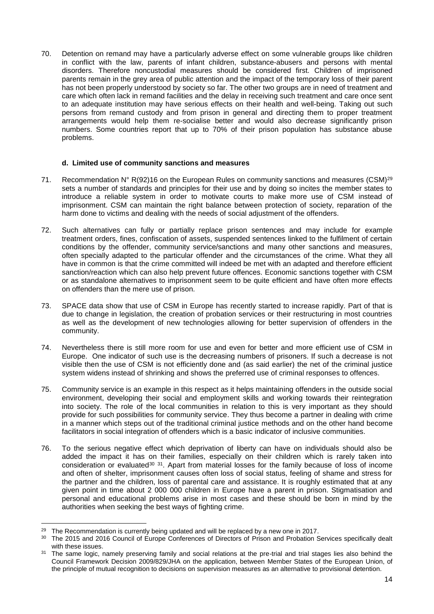70. Detention on remand may have a particularly adverse effect on some vulnerable groups like children in conflict with the law, parents of infant children, substance-abusers and persons with mental disorders. Therefore noncustodial measures should be considered first. Children of imprisoned parents remain in the grey area of public attention and the impact of the temporary loss of their parent has not been properly understood by society so far. The other two groups are in need of treatment and care which often lack in remand facilities and the delay in receiving such treatment and care once sent to an adequate institution may have serious effects on their health and well-being. Taking out such persons from remand custody and from prison in general and directing them to proper treatment arrangements would help them re-socialise better and would also decrease significantly prison numbers. Some countries report that up to 70% of their prison population has substance abuse problems.

#### **d. Limited use of community sanctions and measures**

- <span id="page-13-0"></span>71. Recommendation  $N^{\circ}$  R(92)16 on the European Rules on community sanctions and measures (CSM)<sup>29</sup> sets a number of standards and principles for their use and by doing so incites the member states to introduce a reliable system in order to motivate courts to make more use of CSM instead of imprisonment. CSM can maintain the right balance between protection of society, reparation of the harm done to victims and dealing with the needs of social adjustment of the offenders.
- 72. Such alternatives can fully or partially replace prison sentences and may include for example treatment orders, fines, confiscation of assets, suspended sentences linked to the fulfilment of certain conditions by the offender, community service/sanctions and many other sanctions and measures, often specially adapted to the particular offender and the circumstances of the crime. What they all have in common is that the crime committed will indeed be met with an adapted and therefore efficient sanction/reaction which can also help prevent future offences. Economic sanctions together with CSM or as standalone alternatives to imprisonment seem to be quite efficient and have often more effects on offenders than the mere use of prison.
- 73. SPACE data show that use of CSM in Europe has recently started to increase rapidly. Part of that is due to change in legislation, the creation of probation services or their restructuring in most countries as well as the development of new technologies allowing for better supervision of offenders in the community.
- 74. Nevertheless there is still more room for use and even for better and more efficient use of CSM in Europe. One indicator of such use is the decreasing numbers of prisoners. If such a decrease is not visible then the use of CSM is not efficiently done and (as said earlier) the net of the criminal justice system widens instead of shrinking and shows the preferred use of criminal responses to offences.
- 75. Community service is an example in this respect as it helps maintaining offenders in the outside social environment, developing their social and employment skills and working towards their reintegration into society. The role of the local communities in relation to this is very important as they should provide for such possibilities for community service. They thus become a partner in dealing with crime in a manner which steps out of the traditional criminal justice methods and on the other hand become facilitators in social integration of offenders which is a basic indicator of inclusive communities.
- 76. To the serious negative effect which deprivation of liberty can have on individuals should also be added the impact it has on their families, especially on their children which is rarely taken into consideration or evaluated<sup>30</sup><sup>31</sup>. Apart from material losses for the family because of loss of income and often of shelter, imprisonment causes often loss of social status, feeling of shame and stress for the partner and the children, loss of parental care and assistance. It is roughly estimated that at any given point in time about 2 000 000 children in Europe have a parent in prison. Stigmatisation and personal and educational problems arise in most cases and these should be born in mind by the authorities when seeking the best ways of fighting crime.

<sup>&</sup>lt;sup>29</sup> The Recommendation is currently being updated and will be replaced by a new one in 2017.

<sup>&</sup>lt;sup>30</sup> The 2015 and 2016 Council of Europe Conferences of Directors of Prison and Probation Services specifically dealt with these issues.

<sup>&</sup>lt;sup>31</sup> The same logic, namely preserving family and social relations at the pre-trial and trial stages lies also behind the Council Framework Decision 2009/829/JHA on the application, between Member States of the European Union, of the principle of mutual recognition to decisions on supervision measures as an alternative to provisional detention.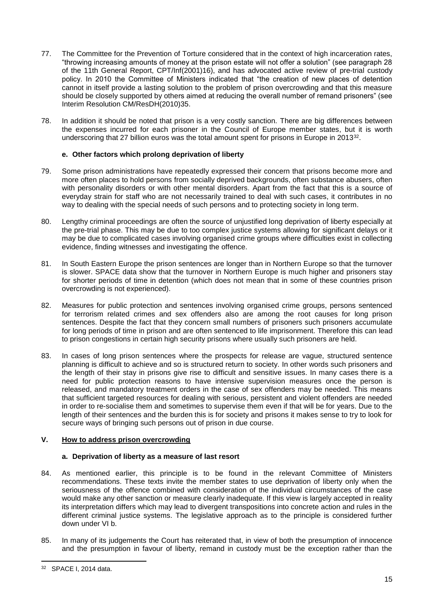- 77. The Committee for the Prevention of Torture considered that in the context of high incarceration rates, "throwing increasing amounts of money at the prison estate will not offer a solution" (see paragraph 28 of the 11th General Report, CPT/Inf(2001)16), and has advocated active review of pre-trial custody policy. In 2010 the Committee of Ministers indicated that "the creation of new places of detention cannot in itself provide a lasting solution to the problem of prison overcrowding and that this measure should be closely supported by others aimed at reducing the overall number of remand prisoners" (see Interim Resolution CM/ResDH(2010)35.
- 78. In addition it should be noted that prison is a very costly sanction. There are big differences between the expenses incurred for each prisoner in the Council of Europe member states, but it is worth underscoring that 27 billion euros was the total amount spent for prisons in Europe in 2013<sup>32</sup>.

# **e. Other factors which prolong deprivation of liberty**

- <span id="page-14-0"></span>79. Some prison administrations have repeatedly expressed their concern that prisons become more and more often places to hold persons from socially deprived backgrounds, often substance abusers, often with personality disorders or with other mental disorders. Apart from the fact that this is a source of everyday strain for staff who are not necessarily trained to deal with such cases, it contributes in no way to dealing with the special needs of such persons and to protecting society in long term.
- 80. Lengthy criminal proceedings are often the source of unjustified long deprivation of liberty especially at the pre-trial phase. This may be due to too complex justice systems allowing for significant delays or it may be due to complicated cases involving organised crime groups where difficulties exist in collecting evidence, finding witnesses and investigating the offence.
- 81. In South Eastern Europe the prison sentences are longer than in Northern Europe so that the turnover is slower. SPACE data show that the turnover in Northern Europe is much higher and prisoners stay for shorter periods of time in detention (which does not mean that in some of these countries prison overcrowding is not experienced).
- 82. Measures for public protection and sentences involving organised crime groups, persons sentenced for terrorism related crimes and sex offenders also are among the root causes for long prison sentences. Despite the fact that they concern small numbers of prisoners such prisoners accumulate for long periods of time in prison and are often sentenced to life imprisonment. Therefore this can lead to prison congestions in certain high security prisons where usually such prisoners are held.
- 83. In cases of long prison sentences where the prospects for release are vague, structured sentence planning is difficult to achieve and so is structured return to society. In other words such prisoners and the length of their stay in prisons give rise to difficult and sensitive issues. In many cases there is a need for public protection reasons to have intensive supervision measures once the person is released, and mandatory treatment orders in the case of sex offenders may be needed. This means that sufficient targeted resources for dealing with serious, persistent and violent offenders are needed in order to re-socialise them and sometimes to supervise them even if that will be for years. Due to the length of their sentences and the burden this is for society and prisons it makes sense to try to look for secure ways of bringing such persons out of prison in due course.

# <span id="page-14-1"></span>**V. How to address prison overcrowding**

# **a. Deprivation of liberty as a measure of last resort**

- <span id="page-14-2"></span>84. As mentioned earlier, this principle is to be found in the relevant Committee of Ministers recommendations. These texts invite the member states to use deprivation of liberty only when the seriousness of the offence combined with consideration of the individual circumstances of the case would make any other sanction or measure clearly inadequate. If this view is largely accepted in reality its interpretation differs which may lead to divergent transpositions into concrete action and rules in the different criminal justice systems. The legislative approach as to the principle is considered further down under VI b.
- 85. In many of its judgements the Court has reiterated that, in view of both the presumption of innocence and the presumption in favour of liberty, remand in custody must be the exception rather than the

 $\overline{a}$ 

<sup>32</sup> SPACE I, 2014 data.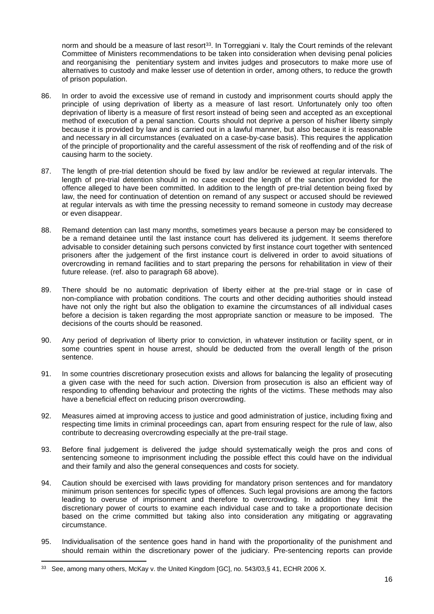norm and should be a measure of last resort<sup>33</sup>. In Torreggiani v. Italy the Court reminds of the relevant Committee of Ministers recommendations to be taken into consideration when devising penal policies and reorganising the penitentiary system and invites judges and prosecutors to make more use of alternatives to custody and make lesser use of detention in order, among others, to reduce the growth of prison population.

- 86. In order to avoid the excessive use of remand in custody and imprisonment courts should apply the principle of using deprivation of liberty as a measure of last resort. Unfortunately only too often deprivation of liberty is a measure of first resort instead of being seen and accepted as an exceptional method of execution of a penal sanction. Courts should not deprive a person of his/her liberty simply because it is provided by law and is carried out in a lawful manner, but also because it is reasonable and necessary in all circumstances (evaluated on a case-by-case basis). This requires the application of the principle of proportionality and the careful assessment of the risk of reoffending and of the risk of causing harm to the society.
- 87. The length of pre-trial detention should be fixed by law and/or be reviewed at regular intervals. The length of pre-trial detention should in no case exceed the length of the sanction provided for the offence alleged to have been committed. In addition to the length of pre-trial detention being fixed by law, the need for continuation of detention on remand of any suspect or accused should be reviewed at regular intervals as with time the pressing necessity to remand someone in custody may decrease or even disappear.
- 88. Remand detention can last many months, sometimes years because a person may be considered to be a remand detainee until the last instance court has delivered its judgement. It seems therefore advisable to consider detaining such persons convicted by first instance court together with sentenced prisoners after the judgement of the first instance court is delivered in order to avoid situations of overcrowding in remand facilities and to start preparing the persons for rehabilitation in view of their future release. (ref. also to paragraph 68 above).
- 89. There should be no automatic deprivation of liberty either at the pre-trial stage or in case of non-compliance with probation conditions. The courts and other deciding authorities should instead have not only the right but also the obligation to examine the circumstances of all individual cases before a decision is taken regarding the most appropriate sanction or measure to be imposed. The decisions of the courts should be reasoned.
- 90. Any period of deprivation of liberty prior to conviction, in whatever institution or facility spent, or in some countries spent in house arrest, should be deducted from the overall length of the prison sentence.
- 91. In some countries discretionary prosecution exists and allows for balancing the legality of prosecuting a given case with the need for such action. Diversion from prosecution is also an efficient way of responding to offending behaviour and protecting the rights of the victims. These methods may also have a beneficial effect on reducing prison overcrowding.
- 92. Measures aimed at improving access to justice and good administration of justice, including fixing and respecting time limits in criminal proceedings can, apart from ensuring respect for the rule of law, also contribute to decreasing overcrowding especially at the pre-trail stage.
- 93. Before final judgement is delivered the judge should systematically weigh the pros and cons of sentencing someone to imprisonment including the possible effect this could have on the individual and their family and also the general consequences and costs for society.
- 94. Caution should be exercised with laws providing for mandatory prison sentences and for mandatory minimum prison sentences for specific types of offences. Such legal provisions are among the factors leading to overuse of imprisonment and therefore to overcrowding. In addition they limit the discretionary power of courts to examine each individual case and to take a proportionate decision based on the crime committed but taking also into consideration any mitigating or aggravating circumstance.
- 95. Individualisation of the sentence goes hand in hand with the proportionality of the punishment and should remain within the discretionary power of the judiciary. Pre-sentencing reports can provide

 $\overline{a}$ <sup>33</sup> See, among many others, McKay v. the United Kingdom [GC], no. 543/03, § 41, ECHR 2006 X.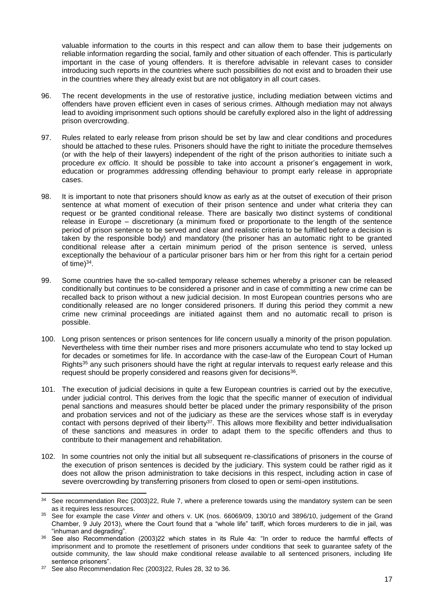valuable information to the courts in this respect and can allow them to base their judgements on reliable information regarding the social, family and other situation of each offender. This is particularly important in the case of young offenders. It is therefore advisable in relevant cases to consider introducing such reports in the countries where such possibilities do not exist and to broaden their use in the countries where they already exist but are not obligatory in all court cases.

- 96. The recent developments in the use of restorative justice, including mediation between victims and offenders have proven efficient even in cases of serious crimes. Although mediation may not always lead to avoiding imprisonment such options should be carefully explored also in the light of addressing prison overcrowding.
- 97. Rules related to early release from prison should be set by law and clear conditions and procedures should be attached to these rules. Prisoners should have the right to initiate the procedure themselves (or with the help of their lawyers) independent of the right of the prison authorities to initiate such a procedure *ex officio*. It should be possible to take into account a prisoner's engagement in work, education or programmes addressing offending behaviour to prompt early release in appropriate cases.
- 98. It is important to note that prisoners should know as early as at the outset of execution of their prison sentence at what moment of execution of their prison sentence and under what criteria they can request or be granted conditional release. There are basically two distinct systems of conditional release in Europe – discretionary (a minimum fixed or proportionate to the length of the sentence period of prison sentence to be served and clear and realistic criteria to be fulfilled before a decision is taken by the responsible body) and mandatory (the prisoner has an automatic right to be granted conditional release after a certain minimum period of the prison sentence is served, unless exceptionally the behaviour of a particular prisoner bars him or her from this right for a certain period of time) $34$ .
- 99. Some countries have the so-called temporary release schemes whereby a prisoner can be released conditionally but continues to be considered a prisoner and in case of committing a new crime can be recalled back to prison without a new judicial decision. In most European countries persons who are conditionally released are no longer considered prisoners. If during this period they commit a new crime new criminal proceedings are initiated against them and no automatic recall to prison is possible.
- 100. Long prison sentences or prison sentences for life concern usually a minority of the prison population. Nevertheless with time their number rises and more prisoners accumulate who tend to stay locked up for decades or sometimes for life. In accordance with the case-law of the European Court of Human Rights<sup>35</sup> any such prisoners should have the right at regular intervals to request early release and this request should be properly considered and reasons given for decisions<sup>36</sup>.
- 101. The execution of judicial decisions in quite a few European countries is carried out by the executive, under judicial control. This derives from the logic that the specific manner of execution of individual penal sanctions and measures should better be placed under the primary responsibility of the prison and probation services and not of the judiciary as these are the services whose staff is in everyday contact with persons deprived of their liberty<sup>37</sup>. This allows more flexibility and better individualisation of these sanctions and measures in order to adapt them to the specific offenders and thus to contribute to their management and rehabilitation.
- 102. In some countries not only the initial but all subsequent re-classifications of prisoners in the course of the execution of prison sentences is decided by the judiciary. This system could be rather rigid as it does not allow the prison administration to take decisions in this respect, including action in case of severe overcrowding by transferring prisoners from closed to open or semi-open institutions.

<sup>&</sup>lt;sup>34</sup> See recommendation Rec (2003)22, Rule 7, where a preference towards using the mandatory system can be seen as it requires less resources.

<sup>35</sup> See for example the case *Vinter* and others v. UK (nos. 66069/09, 130/10 and 3896/10, judgement of the Grand Chamber, 9 July 2013), where the Court found that a "whole life" tariff, which forces murderers to die in jail, was "inhuman and degrading".

<sup>36</sup> See also Recommendation (2003)22 which states in its Rule 4a: "In order to reduce the harmful effects of imprisonment and to promote the resettlement of prisoners under conditions that seek to guarantee safety of the outside community, the law should make conditional release available to all sentenced prisoners, including life sentence prisoners".

<sup>&</sup>lt;sup>37</sup> See also Recommendation Rec (2003) 22, Rules 28, 32 to 36.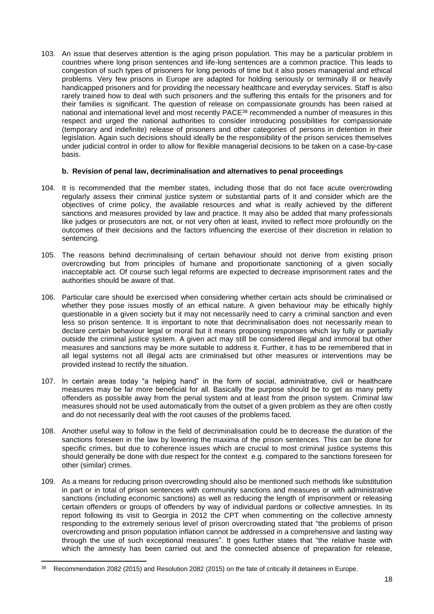103. An issue that deserves attention is the aging prison population. This may be a particular problem in countries where long prison sentences and life-long sentences are a common practice. This leads to congestion of such types of prisoners for long periods of time but it also poses managerial and ethical problems. Very few prisons in Europe are adapted for holding seriously or terminally ill or heavily handicapped prisoners and for providing the necessary healthcare and everyday services. Staff is also rarely trained how to deal with such prisoners and the suffering this entails for the prisoners and for their families is significant. The question of release on compassionate grounds has been raised at national and international level and most recently PACE<sup>38</sup> recommended a number of measures in this respect and urged the national authorities to consider introducing possibilities for compassionate (temporary and indefinite) release of prisoners and other categories of persons in detention in their legislation. Again such decisions should ideally be the responsibility of the prison services themselves under judicial control in order to allow for flexible managerial decisions to be taken on a case-by-case basis.

#### <span id="page-17-0"></span>**b. Revision of penal law, decriminalisation and alternatives to penal proceedings**

- 104. It is recommended that the member states, including those that do not face acute overcrowding regularly assess their criminal justice system or substantial parts of it and consider which are the objectives of crime policy, the available resources and what is really achieved by the different sanctions and measures provided by law and practice. It may also be added that many professionals like judges or prosecutors are not, or not very often at least, invited to reflect more profoundly on the outcomes of their decisions and the factors influencing the exercise of their discretion in relation to sentencing.
- 105. The reasons behind decriminalising of certain behaviour should not derive from existing prison overcrowding but from principles of humane and proportionate sanctioning of a given socially inacceptable act. Of course such legal reforms are expected to decrease imprisonment rates and the authorities should be aware of that.
- 106. Particular care should be exercised when considering whether certain acts should be criminalised or whether they pose issues mostly of an ethical nature. A given behaviour may be ethically highly questionable in a given society but it may not necessarily need to carry a criminal sanction and even less so prison sentence. It is important to note that decriminalisation does not necessarily mean to declare certain behaviour legal or moral but it means proposing responses which lay fully or partially outside the criminal justice system. A given act may still be considered illegal and immoral but other measures and sanctions may be more suitable to address it. Further, it has to be remembered that in all legal systems not all illegal acts are criminalised but other measures or interventions may be provided instead to rectify the situation.
- 107. In certain areas today "a helping hand" in the form of social, administrative, civil or healthcare measures may be far more beneficial for all. Basically the purpose should be to get as many petty offenders as possible away from the penal system and at least from the prison system. Criminal law measures should not be used automatically from the outset of a given problem as they are often costly and do not necessarily deal with the root causes of the problems faced.
- 108. Another useful way to follow in the field of decriminalisation could be to decrease the duration of the sanctions foreseen in the law by lowering the maxima of the prison sentences. This can be done for specific crimes, but due to coherence issues which are crucial to most criminal justice systems this should generally be done with due respect for the context e.g. compared to the sanctions foreseen for other (similar) crimes.
- 109. As a means for reducing prison overcrowding should also be mentioned such methods like substitution in part or in total of prison sentences with community sanctions and measures or with administrative sanctions (including economic sanctions) as well as reducing the length of imprisonment or releasing certain offenders or groups of offenders by way of individual pardons or collective amnesties. In its report following its visit to Georgia in 2012 the CPT when commenting on the collective amnesty responding to the extremely serious level of prison overcrowding stated that "the problems of prison overcrowding and prison population inflation cannot be addressed in a comprehensive and lasting way through the use of such exceptional measures". It goes further states that "the relative haste with which the amnesty has been carried out and the connected absence of preparation for release,

 $\overline{a}$ 

<sup>&</sup>lt;sup>38</sup> Recommendation 2082 (2015) and Resolution 2082 (2015) on the fate of critically ill detainees in Europe.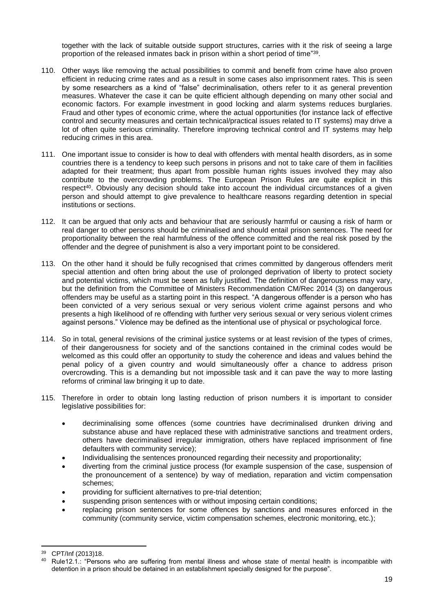together with the lack of suitable outside support structures, carries with it the risk of seeing a large proportion of the released inmates back in prison within a short period of time"<sup>39</sup>.

- 110. Other ways like removing the actual possibilities to commit and benefit from crime have also proven efficient in reducing crime rates and as a result in some cases also imprisonment rates. This is seen by some researchers as a kind of "false" decriminalisation, others refer to it as general prevention measures. Whatever the case it can be quite efficient although depending on many other social and economic factors. For example investment in good locking and alarm systems reduces burglaries. Fraud and other types of economic crime, where the actual opportunities (for instance lack of effective control and security measures and certain technical/practical issues related to IT systems) may drive a lot of often quite serious criminality. Therefore improving technical control and IT systems may help reducing crimes in this area.
- 111. One important issue to consider is how to deal with offenders with mental health disorders, as in some countries there is a tendency to keep such persons in prisons and not to take care of them in facilities adapted for their treatment; thus apart from possible human rights issues involved they may also contribute to the overcrowding problems. The European Prison Rules are quite explicit in this respect<sup>40</sup>. Obviously any decision should take into account the individual circumstances of a given person and should attempt to give prevalence to healthcare reasons regarding detention in special institutions or sections.
- 112. It can be argued that only acts and behaviour that are seriously harmful or causing a risk of harm or real danger to other persons should be criminalised and should entail prison sentences. The need for proportionality between the real harmfulness of the offence committed and the real risk posed by the offender and the degree of punishment is also a very important point to be considered.
- 113. On the other hand it should be fully recognised that crimes committed by dangerous offenders merit special attention and often bring about the use of prolonged deprivation of liberty to protect society and potential victims, which must be seen as fully justified. The definition of dangerousness may vary, but the definition from the Committee of Ministers Recommendation CM/Rec 2014 (3) on dangerous offenders may be useful as a starting point in this respect. "A dangerous offender is a person who has been convicted of a very serious sexual or very serious violent crime against persons and who presents a high likelihood of re offending with further very serious sexual or very serious violent crimes against persons." Violence may be defined as the intentional use of physical or psychological force.
- 114. So in total, general revisions of the criminal justice systems or at least revision of the types of crimes, of their dangerousness for society and of the sanctions contained in the criminal codes would be welcomed as this could offer an opportunity to study the coherence and ideas and values behind the penal policy of a given country and would simultaneously offer a chance to address prison overcrowding. This is a demanding but not impossible task and it can pave the way to more lasting reforms of criminal law bringing it up to date.
- 115. Therefore in order to obtain long lasting reduction of prison numbers it is important to consider legislative possibilities for:
	- decriminalising some offences (some countries have decriminalised drunken driving and substance abuse and have replaced these with administrative sanctions and treatment orders, others have decriminalised irregular immigration, others have replaced imprisonment of fine defaulters with community service);
	- Individualising the sentences pronounced regarding their necessity and proportionality;
	- diverting from the criminal justice process (for example suspension of the case, suspension of the pronouncement of a sentence) by way of mediation, reparation and victim compensation schemes;
	- providing for sufficient alternatives to pre-trial detention;
	- suspending prison sentences with or without imposing certain conditions;
	- replacing prison sentences for some offences by sanctions and measures enforced in the community (community service, victim compensation schemes, electronic monitoring, etc.);

 $\overline{a}$ <sup>39</sup> CPT/Inf (2013)18.

Rule12.1.: "Persons who are suffering from mental illness and whose state of mental health is incompatible with detention in a prison should be detained in an establishment specially designed for the purpose".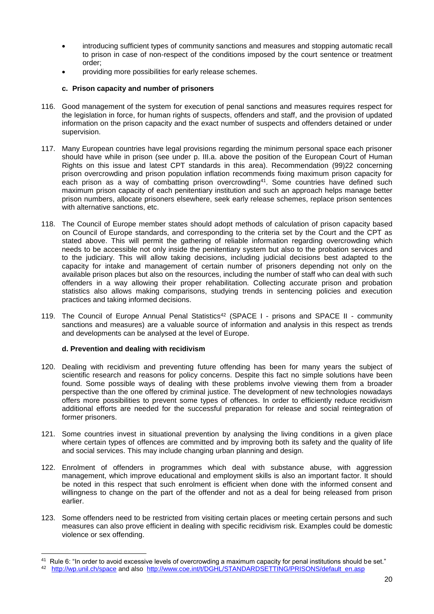- introducing sufficient types of community sanctions and measures and stopping automatic recall to prison in case of non-respect of the conditions imposed by the court sentence or treatment order;
- providing more possibilities for early release schemes.
- **c. Prison capacity and number of prisoners**
- <span id="page-19-0"></span>116. Good management of the system for execution of penal sanctions and measures requires respect for the legislation in force, for human rights of suspects, offenders and staff, and the provision of updated information on the prison capacity and the exact number of suspects and offenders detained or under supervision.
- 117. Many European countries have legal provisions regarding the minimum personal space each prisoner should have while in prison (see under p. III.a. above the position of the European Court of Human Rights on this issue and latest CPT standards in this area). Recommendation (99)22 concerning prison overcrowding and prison population inflation recommends fixing maximum prison capacity for each prison as a way of combatting prison overcrowding<sup>41</sup>. Some countries have defined such maximum prison capacity of each penitentiary institution and such an approach helps manage better prison numbers, allocate prisoners elsewhere, seek early release schemes, replace prison sentences with alternative sanctions, etc.
- 118. The Council of Europe member states should adopt methods of calculation of prison capacity based on Council of Europe standards, and corresponding to the criteria set by the Court and the CPT as stated above. This will permit the gathering of reliable information regarding overcrowding which needs to be accessible not only inside the penitentiary system but also to the probation services and to the judiciary. This will allow taking decisions, including judicial decisions best adapted to the capacity for intake and management of certain number of prisoners depending not only on the available prison places but also on the resources, including the number of staff who can deal with such offenders in a way allowing their proper rehabilitation. Collecting accurate prison and probation statistics also allows making comparisons, studying trends in sentencing policies and execution practices and taking informed decisions.
- 119. The Council of Europe Annual Penal Statistics<sup>42</sup> (SPACE I prisons and SPACE II community sanctions and measures) are a valuable source of information and analysis in this respect as trends and developments can be analysed at the level of Europe.

# <span id="page-19-1"></span>**d. Prevention and dealing with recidivism**

- 120. Dealing with recidivism and preventing future offending has been for many years the subject of scientific research and reasons for policy concerns. Despite this fact no simple solutions have been found. Some possible ways of dealing with these problems involve viewing them from a broader perspective than the one offered by criminal justice. The development of new technologies nowadays offers more possibilities to prevent some types of offences. In order to efficiently reduce recidivism additional efforts are needed for the successful preparation for release and social reintegration of former prisoners.
- 121. Some countries invest in situational prevention by analysing the living conditions in a given place where certain types of offences are committed and by improving both its safety and the quality of life and social services. This may include changing urban planning and design.
- 122. Enrolment of offenders in programmes which deal with substance abuse, with aggression management, which improve educational and employment skills is also an important factor. It should be noted in this respect that such enrolment is efficient when done with the informed consent and willingness to change on the part of the offender and not as a deal for being released from prison earlier.
- 123. Some offenders need to be restricted from visiting certain places or meeting certain persons and such measures can also prove efficient in dealing with specific recidivism risk. Examples could be domestic violence or sex offending.

 $41$  Rule 6: "In order to avoid excessive levels of overcrowding a maximum capacity for penal institutions should be set."

<sup>42</sup> <http://wp.unil.ch/space> and also [http://www.coe.int/t/DGHL/STANDARDSETTING/PRISONS/default\\_en.asp](http://www.coe.int/t/DGHL/STANDARDSETTING/PRISONS/default_en.asp)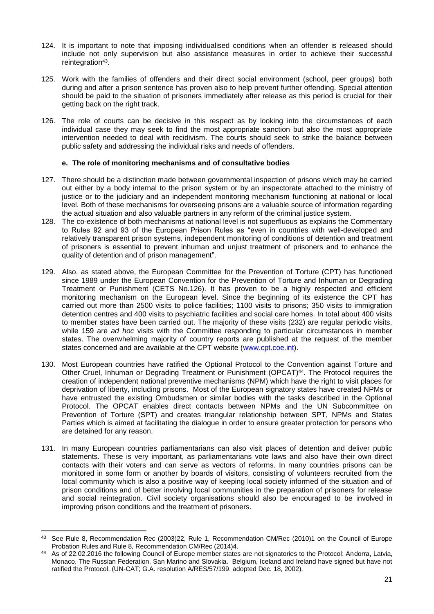- 124. It is important to note that imposing individualised conditions when an offender is released should include not only supervision but also assistance measures in order to achieve their successful reintegration<sup>43</sup>.
- 125. Work with the families of offenders and their direct social environment (school, peer groups) both during and after a prison sentence has proven also to help prevent further offending. Special attention should be paid to the situation of prisoners immediately after release as this period is crucial for their getting back on the right track.
- 126. The role of courts can be decisive in this respect as by looking into the circumstances of each individual case they may seek to find the most appropriate sanction but also the most appropriate intervention needed to deal with recidivism. The courts should seek to strike the balance between public safety and addressing the individual risks and needs of offenders.

# **e. The role of monitoring mechanisms and of consultative bodies**

- <span id="page-20-0"></span>127. There should be a distinction made between governmental inspection of prisons which may be carried out either by a body internal to the prison system or by an inspectorate attached to the ministry of justice or to the judiciary and an independent monitoring mechanism functioning at national or local level. Both of these mechanisms for overseeing prisons are a valuable source of information regarding the actual situation and also valuable partners in any reform of the criminal justice system.
- 128. The co-existence of both mechanisms at national level is not superfluous as explains the Commentary to Rules 92 and 93 of the European Prison Rules as "even in countries with well-developed and relatively transparent prison systems, independent monitoring of conditions of detention and treatment of prisoners is essential to prevent inhuman and unjust treatment of prisoners and to enhance the quality of detention and of prison management".
- 129. Also, as stated above, the European Committee for the Prevention of Torture (CPT) has functioned since 1989 under the European Convention for the Prevention of Torture and Inhuman or Degrading Treatment or Punishment (CETS No.126). It has proven to be a highly respected and efficient monitoring mechanism on the European level. Since the beginning of its existence the CPT has carried out more than 2500 visits to police facilities; 1100 visits to prisons; 350 visits to immigration detention centres and 400 visits to psychiatric facilities and social care homes. In total about 400 visits to member states have been carried out. The majority of these visits (232) are regular periodic visits, while 159 are *ad hoc* visits with the Committee responding to particular circumstances in member states. The overwhelming majority of country reports are published at the request of the member states concerned and are available at the CPT website [\(www.cpt.coe.int\)](http://www.cpt.coe.int/).
- 130. Most European countries have ratified the Optional Protocol to the Convention against Torture and Other Cruel, Inhuman or Degrading Treatment or Punishment (OPCAT)<sup>44</sup>. The Protocol requires the creation of independent national preventive mechanisms (NPM) which have the right to visit places for deprivation of liberty, including prisons. Most of the European signatory states have created NPMs or have entrusted the existing Ombudsmen or similar bodies with the tasks described in the Optional Protocol. The OPCAT enables direct contacts between NPMs and the UN Subcommittee on Prevention of Torture (SPT) and creates triangular relationship between SPT, NPMs and States Parties which is aimed at facilitating the dialogue in order to ensure greater protection for persons who are detained for any reason.
- 131. In many European countries parliamentarians can also visit places of detention and deliver public statements. These is very important, as parliamentarians vote laws and also have their own direct contacts with their voters and can serve as vectors of reforms. In many countries prisons can be monitored in some form or another by boards of visitors, consisting of volunteers recruited from the local community which is also a positive way of keeping local society informed of the situation and of prison conditions and of better involving local communities in the preparation of prisoners for release and social reintegration. Civil society organisations should also be encouraged to be involved in improving prison conditions and the treatment of prisoners.

<sup>43</sup> See Rule 8, Recommendation Rec (2003)22, Rule 1, Recommendation CM/Rec (2010)1 on the Council of Europe Probation Rules and Rule 8, Recommendation CM/Rec (2014)4.

<sup>44</sup> As of 22.02.2016 the following Council of Europe member states are not signatories to the Protocol: Andorra, Latvia, Monaco, The Russian Federation, San Marino and Slovakia. Belgium, Iceland and Ireland have signed but have not ratified the Protocol. (UN-CAT; G.A. resolution A/RES/57/199. adopted Dec. 18, 2002).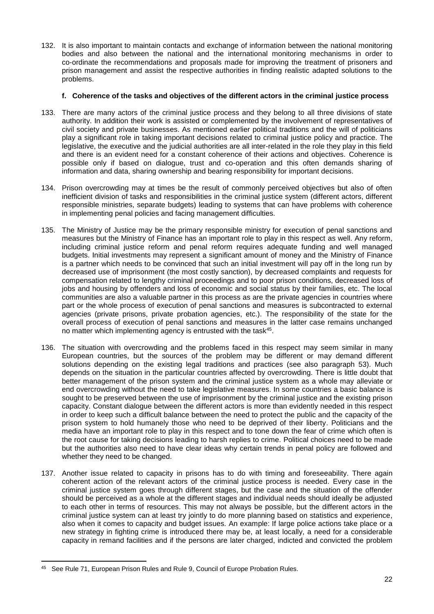132. It is also important to maintain contacts and exchange of information between the national monitoring bodies and also between the national and the international monitoring mechanisms in order to co-ordinate the recommendations and proposals made for improving the treatment of prisoners and prison management and assist the respective authorities in finding realistic adapted solutions to the problems.

#### **f. Coherence of the tasks and objectives of the different actors in the criminal justice process**

- <span id="page-21-0"></span>133. There are many actors of the criminal justice process and they belong to all three divisions of state authority. In addition their work is assisted or complemented by the involvement of representatives of civil society and private businesses. As mentioned earlier political traditions and the will of politicians play a significant role in taking important decisions related to criminal justice policy and practice. The legislative, the executive and the judicial authorities are all inter-related in the role they play in this field and there is an evident need for a constant coherence of their actions and objectives. Coherence is possible only if based on dialogue, trust and co-operation and this often demands sharing of information and data, sharing ownership and bearing responsibility for important decisions.
- 134. Prison overcrowding may at times be the result of commonly perceived objectives but also of often inefficient division of tasks and responsibilities in the criminal justice system (different actors, different responsible ministries, separate budgets) leading to systems that can have problems with coherence in implementing penal policies and facing management difficulties.
- 135. The Ministry of Justice may be the primary responsible ministry for execution of penal sanctions and measures but the Ministry of Finance has an important role to play in this respect as well. Any reform, including criminal justice reform and penal reform requires adequate funding and well managed budgets. Initial investments may represent a significant amount of money and the Ministry of Finance is a partner which needs to be convinced that such an initial investment will pay off in the long run by decreased use of imprisonment (the most costly sanction), by decreased complaints and requests for compensation related to lengthy criminal proceedings and to poor prison conditions, decreased loss of jobs and housing by offenders and loss of economic and social status by their families, etc. The local communities are also a valuable partner in this process as are the private agencies in countries where part or the whole process of execution of penal sanctions and measures is subcontracted to external agencies (private prisons, private probation agencies, etc.). The responsibility of the state for the overall process of execution of penal sanctions and measures in the latter case remains unchanged no matter which implementing agency is entrusted with the task<sup>45</sup>.
- 136. The situation with overcrowding and the problems faced in this respect may seem similar in many European countries, but the sources of the problem may be different or may demand different solutions depending on the existing legal traditions and practices (see also paragraph 53). Much depends on the situation in the particular countries affected by overcrowding. There is little doubt that better management of the prison system and the criminal justice system as a whole may alleviate or end overcrowding without the need to take legislative measures. In some countries a basic balance is sought to be preserved between the use of imprisonment by the criminal justice and the existing prison capacity. Constant dialogue between the different actors is more than evidently needed in this respect in order to keep such a difficult balance between the need to protect the public and the capacity of the prison system to hold humanely those who need to be deprived of their liberty. Politicians and the media have an important role to play in this respect and to tone down the fear of crime which often is the root cause for taking decisions leading to harsh replies to crime. Political choices need to be made but the authorities also need to have clear ideas why certain trends in penal policy are followed and whether they need to be changed.
- 137. Another issue related to capacity in prisons has to do with timing and foreseeability. There again coherent action of the relevant actors of the criminal justice process is needed. Every case in the criminal justice system goes through different stages, but the case and the situation of the offender should be perceived as a whole at the different stages and individual needs should ideally be adjusted to each other in terms of resources. This may not always be possible, but the different actors in the criminal justice system can at least try jointly to do more planning based on statistics and experience, also when it comes to capacity and budget issues. An example: If large police actions take place or a new strategy in fighting crime is introduced there may be, at least locally, a need for a considerable capacity in remand facilities and if the persons are later charged, indicted and convicted the problem

 $\overline{a}$ 

<sup>45</sup> See Rule 71, European Prison Rules and Rule 9, Council of Europe Probation Rules.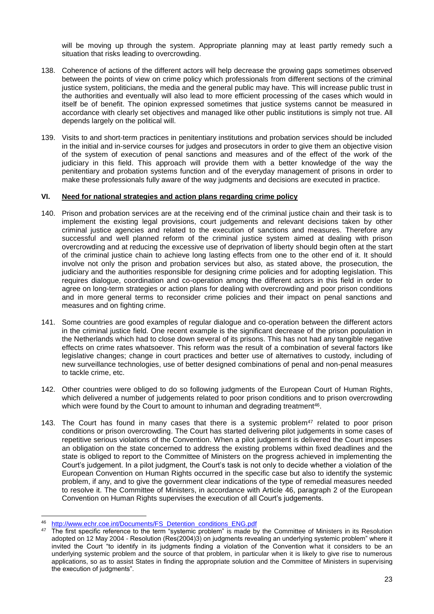will be moving up through the system. Appropriate planning may at least partly remedy such a situation that risks leading to overcrowding.

- 138. Coherence of actions of the different actors will help decrease the growing gaps sometimes observed between the points of view on crime policy which professionals from different sections of the criminal justice system, politicians, the media and the general public may have. This will increase public trust in the authorities and eventually will also lead to more efficient processing of the cases which would in itself be of benefit. The opinion expressed sometimes that justice systems cannot be measured in accordance with clearly set objectives and managed like other public institutions is simply not true. All depends largely on the political will.
- 139. Visits to and short-term practices in penitentiary institutions and probation services should be included in the initial and in-service courses for judges and prosecutors in order to give them an objective vision of the system of execution of penal sanctions and measures and of the effect of the work of the judiciary in this field. This approach will provide them with a better knowledge of the way the penitentiary and probation systems function and of the everyday management of prisons in order to make these professionals fully aware of the way judgments and decisions are executed in practice.

#### <span id="page-22-0"></span>**VI. Need for national strategies and action plans regarding crime policy**

- 140. Prison and probation services are at the receiving end of the criminal justice chain and their task is to implement the existing legal provisions, court judgements and relevant decisions taken by other criminal justice agencies and related to the execution of sanctions and measures. Therefore any successful and well planned reform of the criminal justice system aimed at dealing with prison overcrowding and at reducing the excessive use of deprivation of liberty should begin often at the start of the criminal justice chain to achieve long lasting effects from one to the other end of it. It should involve not only the prison and probation services but also, as stated above, the prosecution, the judiciary and the authorities responsible for designing crime policies and for adopting legislation. This requires dialogue, coordination and co-operation among the different actors in this field in order to agree on long-term strategies or action plans for dealing with overcrowding and poor prison conditions and in more general terms to reconsider crime policies and their impact on penal sanctions and measures and on fighting crime.
- 141. Some countries are good examples of regular dialogue and co-operation between the different actors in the criminal justice field. One recent example is the significant decrease of the prison population in the Netherlands which had to close down several of its prisons. This has not had any tangible negative effects on crime rates whatsoever. This reform was the result of a combination of several factors like legislative changes; change in court practices and better use of alternatives to custody, including of new surveillance technologies, use of better designed combinations of penal and non-penal measures to tackle crime, etc.
- 142. Other countries were obliged to do so following judgments of the European Court of Human Rights, which delivered a number of judgements related to poor prison conditions and to prison overcrowding which were found by the Court to amount to inhuman and degrading treatment<sup>46</sup>.
- 143. The Court has found in many cases that there is a systemic problem<sup>47</sup> related to poor prison conditions or prison overcrowding. The Court has started delivering pilot judgements in some cases of repetitive serious violations of the Convention. When a pilot judgement is delivered the Court imposes an obligation on the state concerned to address the existing problems within fixed deadlines and the state is obliged to report to the Committee of Ministers on the progress achieved in implementing the Court's judgement. In a pilot judgment, the Court's task is not only to decide whether a violation of the European Convention on Human Rights occurred in the specific case but also to identify the systemic problem, if any, and to give the government clear indications of the type of remedial measures needed to resolve it. The Committee of Ministers, in accordance with Article 46, paragraph 2 of the European Convention on Human Rights supervises the execution of all Court's judgements.

**<sup>.</sup>** <sup>46</sup> [http://www.echr.coe.int/Documents/FS\\_Detention\\_conditions\\_ENG.pdf](http://www.echr.coe.int/Documents/FS_Detention_conditions_ENG.pdf)

 $47$  The first specific reference to the term "systemic problem" is made by the Committee of Ministers in its Resolution adopted on 12 May 2004 - Resolution (Res(2004)3) on judgments revealing an underlying systemic problem" where it invited the Court "to identify in its judgments finding a violation of the Convention what it considers to be an underlying systemic problem and the source of that problem, in particular when it is likely to give rise to numerous applications, so as to assist States in finding the appropriate solution and the Committee of Ministers in supervising the execution of judgments".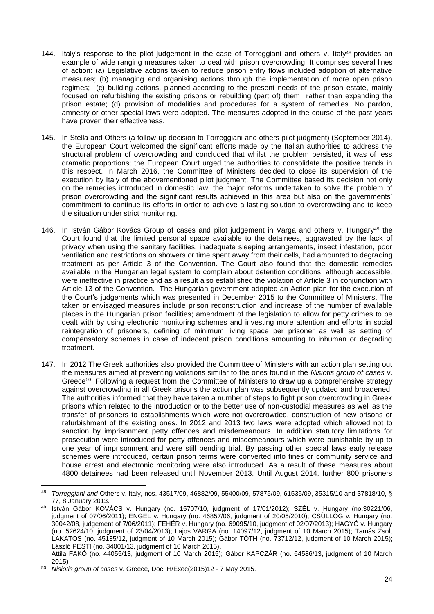- 144. Italy's response to the pilot judgement in the case of Torreggiani and others v. Italy<sup>48</sup> provides an example of wide ranging measures taken to deal with prison overcrowding. It comprises several lines of action: (a) Legislative actions taken to reduce prison entry flows included adoption of alternative measures; (b) managing and organising actions through the implementation of more open prison regimes; (c) building actions, planned according to the present needs of the prison estate, mainly focused on refurbishing the existing prisons or rebuilding (part of) them rather than expanding the prison estate; (d) provision of modalities and procedures for a system of remedies. No pardon, amnesty or other special laws were adopted. The measures adopted in the course of the past years have proven their effectiveness.
- 145. In Stella and Others (a follow-up decision to Torreggiani and others pilot judgment) (September 2014), the European Court welcomed the significant efforts made by the Italian authorities to address the structural problem of overcrowding and concluded that whilst the problem persisted, it was of less dramatic proportions; the European Court urged the authorities to consolidate the positive trends in this respect. In March 2016, the Committee of Ministers decided to close its supervision of the execution by Italy of the abovementioned pilot judgment. The Committee based its decision not only on the remedies introduced in domestic law, the major reforms undertaken to solve the problem of prison overcrowding and the significant results achieved in this area but also on the governments' commitment to continue its efforts in order to achieve a lasting solution to overcrowding and to keep the situation under strict monitoring.
- 146. In István Gábor Kovács Group of cases and pilot judgement in Varga and others v. Hungary<sup>49</sup> the Court found that the limited personal space available to the detainees, aggravated by the lack of privacy when using the sanitary facilities, inadequate sleeping arrangements, insect infestation, poor ventilation and restrictions on showers or time spent away from their cells, had amounted to degrading treatment as per Article 3 of the Convention. The Court also found that the domestic remedies available in the Hungarian legal system to complain about detention conditions, although accessible, were ineffective in practice and as a result also established the violation of Article 3 in conjunction with Article 13 of the Convention. The Hungarian government adopted an Action plan for the execution of the Court's judgements which was presented in December 2015 to the Committee of Ministers. The taken or envisaged measures include prison reconstruction and increase of the number of available places in the Hungarian prison facilities; amendment of the legislation to allow for petty crimes to be dealt with by using electronic monitoring schemes and investing more attention and efforts in social reintegration of prisoners, defining of minimum living space per prisoner as well as setting of compensatory schemes in case of indecent prison conditions amounting to inhuman or degrading treatment.
- 147. In 2012 The Greek authorities also provided the Committee of Ministers with an action plan setting out the measures aimed at preventing violations similar to the ones found in the *Nisiotis group of cases* v. Greece<sup>50</sup>. Following a request from the Committee of Ministers to draw up a comprehensive strategy against overcrowding in all Greek prisons the action plan was subsequently updated and broadened. The authorities informed that they have taken a number of steps to fight prison overcrowding in Greek prisons which related to the introduction or to the better use of non-custodial measures as well as the transfer of prisoners to establishments which were not overcrowded, construction of new prisons or refurbishment of the existing ones. In 2012 and 2013 two laws were adopted which allowed not to sanction by imprisonment petty offences and misdemeanours. In addition statutory limitations for prosecution were introduced for petty offences and misdemeanours which were punishable by up to one year of imprisonment and were still pending trial. By passing other special laws early release schemes were introduced, certain prison terms were converted into fines or community service and house arrest and electronic monitoring were also introduced. As a result of these measures about 4800 detainees had been released until November 2013. Until August 2014, further 800 prisoners

<sup>48</sup> *Torreggiani and* Others v. Italy, nos. 43517/09, 46882/09, 55400/09, 57875/09, 61535/09, 35315/10 and 37818/10, § 77, 8 January 2013.

<sup>49</sup> István Gábor KOVÁCS v. Hungary (no. 15707/10, judgment of 17/01/2012); SZÉL v. Hungary (no.30221/06, judgment of 07/06/2011); ENGEL v. Hungary (no. 46857/06, judgment of 20/05/2010); CSÜLLÖG v. Hungary (no. 30042/08, judgement of 7/06/2011); FEHÉR v. Hungary (no. 69095/10, judgment of 02/07/2013); HAGYÓ v. Hungary (no. 52624/10, judgment of 23/04/2013); Lajos VARGA (no. 14097/12, judgment of 10 March 2015); Tamás Zsolt LAKATOS (no. 45135/12, judgment of 10 March 2015); Gábor TÓTH (no. 73712/12, judgment of 10 March 2015); László PESTI (no. 34001/13, judgment of 10 March 2015).

Attila FAKÓ (no. 44055/13, judgment of 10 March 2015); Gábor KAPCZÁR (no. 64586/13, judgment of 10 March 2015)

<sup>50</sup> *Nisiotis group of cases* v. Greece, Doc. H/Exec(2015)12 - 7 May 2015.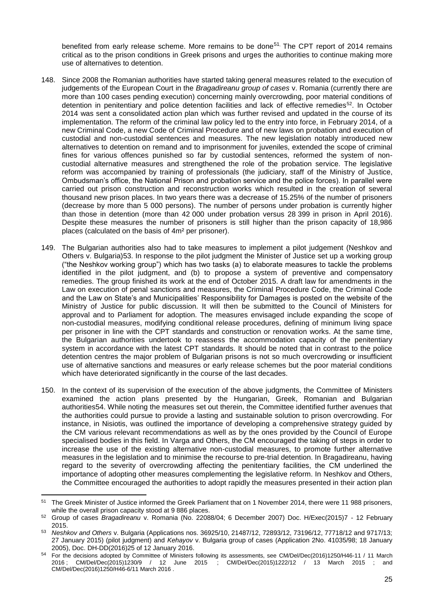benefited from early release scheme. More remains to be done<sup>51</sup>. The CPT report of 2014 remains critical as to the prison conditions in Greek prisons and urges the authorities to continue making more use of alternatives to detention.

- 148. Since 2008 the Romanian authorities have started taking general measures related to the execution of judgements of the European Court in the *Bragadireanu group of cases* v. Romania (currently there are more than 100 cases pending execution) concerning mainly overcrowding, poor material conditions of detention in penitentiary and police detention facilities and lack of effective remedies<sup>52</sup>. In October 2014 was sent a consolidated action plan which was further revised and updated in the course of its implementation. The reform of the criminal law policy led to the entry into force, in February 2014, of a new Criminal Code, a new Code of Criminal Procedure and of new laws on probation and execution of custodial and non-custodial sentences and measures. The new legislation notably introduced new alternatives to detention on remand and to imprisonment for juveniles, extended the scope of criminal fines for various offences punished so far by custodial sentences, reformed the system of noncustodial alternative measures and strengthened the role of the probation service. The legislative reform was accompanied by training of professionals (the judiciary, staff of the Ministry of Justice, Ombudsman's office, the National Prison and probation service and the police forces). In parallel were carried out prison construction and reconstruction works which resulted in the creation of several thousand new prison places. In two years there was a decrease of 15.25% of the number of prisoners (decrease by more than 5 000 persons). The number of persons under probation is currently higher than those in detention (more than 42 000 under probation versus 28 399 in prison in April 2016). Despite these measures the number of prisoners is still higher than the prison capacity of 18,986 places (calculated on the basis of 4m² per prisoner).
- 149. The Bulgarian authorities also had to take measures to implement a pilot judgement (Neshkov and Others v. Bulgaria)53. In response to the pilot judgment the Minister of Justice set up a working group ("the Neshkov working group") which has two tasks (a) to elaborate measures to tackle the problems identified in the pilot judgment, and (b) to propose a system of preventive and compensatory remedies. The group finished its work at the end of October 2015. A draft law for amendments in the Law on execution of penal sanctions and measures, the Criminal Procedure Code, the Criminal Code and the Law on State's and Municipalities' Responsibility for Damages is posted on the website of the Ministry of Justice for public discussion. It will then be submitted to the Council of Ministers for approval and to Parliament for adoption. The measures envisaged include expanding the scope of non-custodial measures, modifying conditional release procedures, defining of minimum living space per prisoner in line with the CPT standards and construction or renovation works. At the same time, the Bulgarian authorities undertook to reassess the accommodation capacity of the penitentiary system in accordance with the latest CPT standards. It should be noted that in contrast to the police detention centres the major problem of Bulgarian prisons is not so much overcrowding or insufficient use of alternative sanctions and measures or early release schemes but the poor material conditions which have deteriorated significantly in the course of the last decades.
- 150. In the context of its supervision of the execution of the above judgments, the Committee of Ministers examined the action plans presented by the Hungarian, Greek, Romanian and Bulgarian authorities54. While noting the measures set out therein, the Committee identified further avenues that the authorities could pursue to provide a lasting and sustainable solution to prison overcrowding. For instance, in Nisiotis, was outlined the importance of developing a comprehensive strategy guided by the CM various relevant recommendations as well as by the ones provided by the Council of Europe specialised bodies in this field. In Varga and Others, the CM encouraged the taking of steps in order to increase the use of the existing alternative non-custodial measures, to promote further alternative measures in the legislation and to minimise the recourse to pre-trial detention. In Bragadireanu, having regard to the severity of overcrowding affecting the penitentiary facilities, the CM underlined the importance of adopting other measures complementing the legislative reform. In Neshkov and Others, the Committee encouraged the authorities to adopt rapidly the measures presented in their action plan

<sup>1</sup> <sup>51</sup> The Greek Minister of Justice informed the Greek Parliament that on 1 November 2014, there were 11 988 prisoners, while the overall prison capacity stood at 9 886 places.

<sup>52</sup> Group of cases *Bragadireanu* v. Romania (No. 22088/04; 6 December 2007) Doc. H/Exec(2015)7 - 12 February 2015.

<sup>53</sup> *Neshkov and Others* v. Bulgaria (Applications nos. 36925/10, 21487/12, 72893/12, 73196/12, 77718/12 and 9717/13; 27 January 2015) (pilot judgment) and *Kehayov* v. Bulgaria group of cases (Application 2No. 41035/98; 18 January 2005), Doc. DH-DD(2016)25 of 12 January 2016.

<sup>&</sup>lt;sup>54</sup> For the decisions adopted by Committee of Ministers following its assessments, see CM/Del/Dec(2016)1250/H46-11 / 11 March [2016](https://wcd.coe.int/ViewDoc.jsp?Ref=CM/Del/Dec(2016)1250/H46-11&Language=lanFrench&Ver=original&Site=CM&BackColorInternet=C3C3C3&BackColorIntranet=EDB021&BackColorLogged=F5D383) ; [CM/Del/Dec\(2015\)1230/9 / 12 June 2015 ;](https://wcd.coe.int/ViewDoc.jsp?Ref=CM/Del/Dec(2015)1230/9&Language=lanFrench&Ver=original&Site=CM&BackColorInternet=C3C3C3&BackColorIntranet=EDB021&BackColorLogged=F5D383) [CM/Del/Dec\(2015\)1222/12 / 13 March 2015 ;](https://wcd.coe.int/ViewDoc.jsp?Ref=CM/Del/Dec(2015)1222/12&Language=lanEnglish&Ver=original&Site=CM&BackColorInternet=C3C3C3&BackColorIntranet=EDB021&BackColorLogged=F5D383) and [CM/Del/Dec\(2016\)1250/H46-6/11 March 2016 .](https://wcd.coe.int/ViewDoc.jsp?Ref=CM/Del/Dec(2016)1250/H46-6&Language=lanEnglish&Ver=original&Site=CM&BackColorInternet=C3C3C3&BackColorIntranet=EDB021&BackColorLogged=F5D383)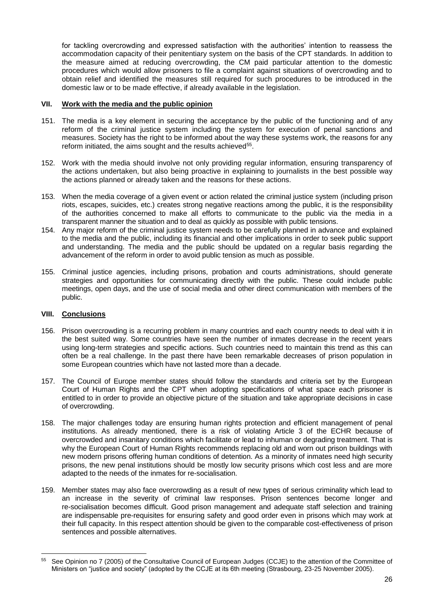for tackling overcrowding and expressed satisfaction with the authorities' intention to reassess the accommodation capacity of their penitentiary system on the basis of the CPT standards. In addition to the measure aimed at reducing overcrowding, the CM paid particular attention to the domestic procedures which would allow prisoners to file a complaint against situations of overcrowding and to obtain relief and identified the measures still required for such procedures to be introduced in the domestic law or to be made effective, if already available in the legislation.

#### <span id="page-25-0"></span>**VII. Work with the media and the public opinion**

- 151. The media is a key element in securing the acceptance by the public of the functioning and of any reform of the criminal justice system including the system for execution of penal sanctions and measures. Society has the right to be informed about the way these systems work, the reasons for any reform initiated, the aims sought and the results achieved<sup>55</sup>.
- 152. Work with the media should involve not only providing regular information, ensuring transparency of the actions undertaken, but also being proactive in explaining to journalists in the best possible way the actions planned or already taken and the reasons for these actions.
- 153. When the media coverage of a given event or action related the criminal justice system (including prison riots, escapes, suicides, etc.) creates strong negative reactions among the public, it is the responsibility of the authorities concerned to make all efforts to communicate to the public via the media in a transparent manner the situation and to deal as quickly as possible with public tensions.
- 154. Any major reform of the criminal justice system needs to be carefully planned in advance and explained to the media and the public, including its financial and other implications in order to seek public support and understanding. The media and the public should be updated on a regular basis regarding the advancement of the reform in order to avoid public tension as much as possible.
- 155. Criminal justice agencies, including prisons, probation and courts administrations, should generate strategies and opportunities for communicating directly with the public. These could include public meetings, open days, and the use of social media and other direct communication with members of the public.

# <span id="page-25-1"></span>**VIII. Conclusions**

- 156. Prison overcrowding is a recurring problem in many countries and each country needs to deal with it in the best suited way. Some countries have seen the number of inmates decrease in the recent years using long-term strategies and specific actions. Such countries need to maintain this trend as this can often be a real challenge. In the past there have been remarkable decreases of prison population in some European countries which have not lasted more than a decade.
- 157. The Council of Europe member states should follow the standards and criteria set by the European Court of Human Rights and the CPT when adopting specifications of what space each prisoner is entitled to in order to provide an objective picture of the situation and take appropriate decisions in case of overcrowding.
- 158. The major challenges today are ensuring human rights protection and efficient management of penal institutions. As already mentioned, there is a risk of violating Article 3 of the ECHR because of overcrowded and insanitary conditions which facilitate or lead to inhuman or degrading treatment. That is why the European Court of Human Rights recommends replacing old and worn out prison buildings with new modern prisons offering human conditions of detention. As a minority of inmates need high security prisons, the new penal institutions should be mostly low security prisons which cost less and are more adapted to the needs of the inmates for re-socialisation.
- 159. Member states may also face overcrowding as a result of new types of serious criminality which lead to an increase in the severity of criminal law responses. Prison sentences become longer and re-socialisation becomes difficult. Good prison management and adequate staff selection and training are indispensable pre-requisites for ensuring safety and good order even in prisons which may work at their full capacity. In this respect attention should be given to the comparable cost-effectiveness of prison sentences and possible alternatives.

**<sup>.</sup>** <sup>55</sup> See Opinion no 7 (2005) of the Consultative Council of European Judges (CCJE) to the attention of the Committee of Ministers on "justice and society" (adopted by the CCJE at its 6th meeting (Strasbourg, 23-25 November 2005).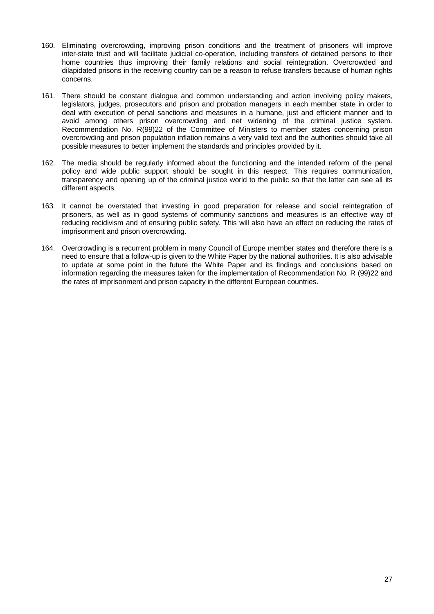- 160. Eliminating overcrowding, improving prison conditions and the treatment of prisoners will improve inter-state trust and will facilitate judicial co-operation, including transfers of detained persons to their home countries thus improving their family relations and social reintegration. Overcrowded and dilapidated prisons in the receiving country can be a reason to refuse transfers because of human rights concerns.
- 161. There should be constant dialogue and common understanding and action involving policy makers, legislators, judges, prosecutors and prison and probation managers in each member state in order to deal with execution of penal sanctions and measures in a humane, just and efficient manner and to avoid among others prison overcrowding and net widening of the criminal justice system. Recommendation No. R(99)22 of the Committee of Ministers to member states concerning prison overcrowding and prison population inflation remains a very valid text and the authorities should take all possible measures to better implement the standards and principles provided by it.
- 162. The media should be regularly informed about the functioning and the intended reform of the penal policy and wide public support should be sought in this respect. This requires communication, transparency and opening up of the criminal justice world to the public so that the latter can see all its different aspects.
- 163. It cannot be overstated that investing in good preparation for release and social reintegration of prisoners, as well as in good systems of community sanctions and measures is an effective way of reducing recidivism and of ensuring public safety. This will also have an effect on reducing the rates of imprisonment and prison overcrowding.
- 164. Overcrowding is a recurrent problem in many Council of Europe member states and therefore there is a need to ensure that a follow-up is given to the White Paper by the national authorities. It is also advisable to update at some point in the future the White Paper and its findings and conclusions based on information regarding the measures taken for the implementation of Recommendation No. R (99)22 and the rates of imprisonment and prison capacity in the different European countries.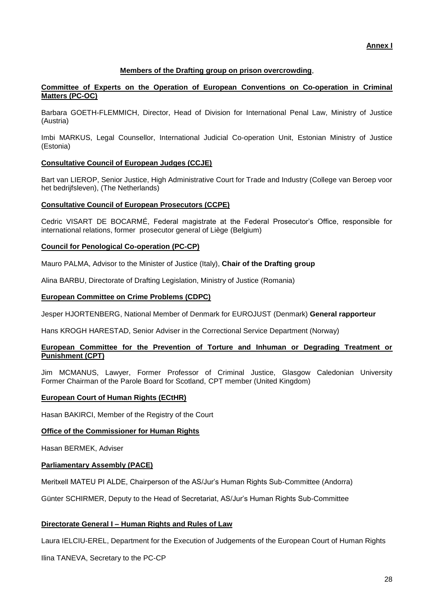# **Members of the Drafting group on prison overcrowding**,

#### <span id="page-27-0"></span>**Committee of Experts on the Operation of European Conventions on Co-operation in Criminal Matters (PC-OC)**

Barbara GOETH-FLEMMICH, Director, Head of Division for International Penal Law, Ministry of Justice (Austria)

Imbi MARKUS, Legal Counsellor, International Judicial Co-operation Unit, Estonian Ministry of Justice (Estonia)

# **Consultative Council of European Judges (CCJE)**

Bart van LIEROP, Senior Justice, High Administrative Court for Trade and Industry (College van Beroep voor het bedrijfsleven), (The Netherlands)

#### **Consultative Council of European Prosecutors (CCPE)**

Cedric VISART DE BOCARMÉ, Federal magistrate at the Federal Prosecutor's Office, responsible for international relations, former prosecutor general of Liège (Belgium)

#### **Council for Penological Co-operation (PC-CP)**

Mauro PALMA, Advisor to the Minister of Justice (Italy), **Chair of the Drafting group**

Alina BARBU, Directorate of Drafting Legislation, Ministry of Justice (Romania)

#### **European Committee on Crime Problems (CDPC)**

Jesper HJORTENBERG, National Member of Denmark for EUROJUST (Denmark) **General rapporteur**

Hans KROGH HARESTAD, Senior Adviser in the Correctional Service Department (Norway)

#### **European Committee for the Prevention of Torture and Inhuman or Degrading Treatment or Punishment (CPT)**

Jim MCMANUS, Lawyer, Former Professor of Criminal Justice, Glasgow Caledonian University Former Chairman of the Parole Board for Scotland, CPT member (United Kingdom)

# **European Court of Human Rights (ECtHR)**

Hasan BAKIRCI, Member of the Registry of the Court

# **Office of the Commissioner for Human Rights**

Hasan BERMEK, Adviser

#### **Parliamentary Assembly (PACE)**

Meritxell MATEU PI ALDE, Chairperson of the AS/Jur's Human Rights Sub-Committee (Andorra)

Günter SCHIRMER, Deputy to the Head of Secretariat, AS/Jur's Human Rights Sub-Committee

# **Directorate General I – Human Rights and Rules of Law**

Laura IELCIU-EREL, Department for the Execution of Judgements of the European Court of Human Rights

Ilina TANEVA, Secretary to the PC-CP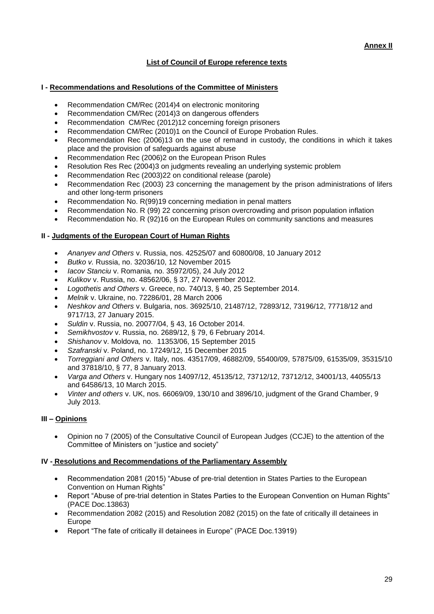# **List of Council of Europe reference texts**

# <span id="page-28-0"></span>**I - Recommendations and Resolutions of the Committee of Ministers**

- Recommendation CM/Rec (2014)4 on electronic monitoring
- Recommendation CM/Rec (2014)3 on dangerous offenders
- Recommendation CM/Rec (2012)12 concerning foreign prisoners
- Recommendation CM/Rec (2010)1 on the Council of Europe Probation Rules.
- Recommendation Rec (2006)13 on the use of remand in custody, the conditions in which it takes place and the provision of safeguards against abuse
- Recommendation Rec (2006)2 on the European Prison Rules
- Resolution Res Rec (2004)3 on judgments revealing an underlying systemic problem
- Recommendation Rec (2003)22 on conditional release (parole)
- Recommendation Rec (2003) 23 concerning the management by the prison administrations of lifers and other long-term prisoners
- Recommendation No. R(99)19 concerning mediation in penal matters
- Recommendation No. R (99) 22 concerning prison overcrowding and prison population inflation
- Recommendation No. R (92)16 on the European Rules on community sanctions and measures

# **II - Judgments of the European Court of Human Rights**

- *Ananyev and Others* v. Russia, nos. 42525/07 and 60800/08, 10 January 2012
- *Butko v.* Russia, no. 32036/10, 12 November 2015
- *Iacov Stanciu* v. Romania*,* no. 35972/05), 24 July 2012
- *Kulikov* v. Russia, no. 48562/06, § 37, 27 November 2012.
- *Logothetis and Others* v. Greece, no. 740/13, § 40, 25 September 2014.
- *Melnik* v. Ukraine, no. 72286/01, 28 March 2006
- *Neshkov and Others* v. Bulgaria, nos. 36925/10, 21487/12, 72893/12, 73196/12, 77718/12 and 9717/13, 27 January 2015.
- *Suldin* v. Russia, no. 20077/04, § 43, 16 October 2014.
- *Semikhvostov* v. Russia, no. 2689/12, § 79, 6 February 2014.
- *Shishanov* v. Moldova*,* no. 11353/06, 15 September 2015
- *Szafranski* v. Poland, no. 17249/12, 15 December 2015
- *Torreggiani and Others* v. Italy, nos. 43517/09, 46882/09, 55400/09, 57875/09, 61535/09, 35315/10 and 37818/10, § 77, 8 January 2013.
- *Varga and Others* v. Hungary nos 14097/12, 45135/12, 73712/12, 73712/12, 34001/13, 44055/13 and 64586/13, 10 March 2015.
- *Vinter and others* v. UK, nos. 66069/09, 130/10 and 3896/10, judgment of the Grand Chamber, 9 July 2013.

# **III – Opinions**

 Opinion no 7 (2005) of the Consultative Council of European Judges (CCJE) to the attention of the Committee of Ministers on "justice and society"

# **IV - Resolutions and Recommendations of the Parliamentary Assembly**

- Recommendation 2081 (2015) "Abuse of pre-trial detention in States Parties to the European Convention on Human Rights"
- Report "Abuse of pre-trial detention in States Parties to the European Convention on Human Rights" (PACE Doc.13863)
- Recommendation 2082 (2015) and Resolution 2082 (2015) on the fate of critically ill detainees in Europe
- Report "The fate of critically ill detainees in Europe" (PACE Doc.13919)